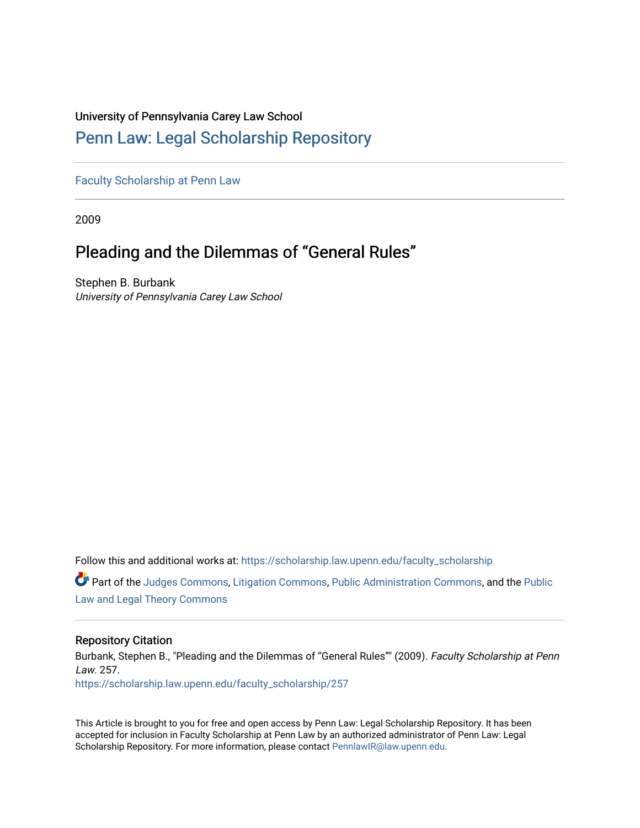# University of Pennsylvania Carey Law School

# [Penn Law: Legal Scholarship Repository](https://scholarship.law.upenn.edu/)

[Faculty Scholarship at Penn Law](https://scholarship.law.upenn.edu/faculty_scholarship)

2009

# Pleading and the Dilemmas of "General Rules"

Stephen B. Burbank University of Pennsylvania Carey Law School

Follow this and additional works at: [https://scholarship.law.upenn.edu/faculty\\_scholarship](https://scholarship.law.upenn.edu/faculty_scholarship?utm_source=scholarship.law.upenn.edu%2Ffaculty_scholarship%2F257&utm_medium=PDF&utm_campaign=PDFCoverPages) 

Part of the [Judges Commons,](http://network.bepress.com/hgg/discipline/849?utm_source=scholarship.law.upenn.edu%2Ffaculty_scholarship%2F257&utm_medium=PDF&utm_campaign=PDFCoverPages) [Litigation Commons](http://network.bepress.com/hgg/discipline/910?utm_source=scholarship.law.upenn.edu%2Ffaculty_scholarship%2F257&utm_medium=PDF&utm_campaign=PDFCoverPages), [Public Administration Commons](http://network.bepress.com/hgg/discipline/398?utm_source=scholarship.law.upenn.edu%2Ffaculty_scholarship%2F257&utm_medium=PDF&utm_campaign=PDFCoverPages), and the [Public](http://network.bepress.com/hgg/discipline/871?utm_source=scholarship.law.upenn.edu%2Ffaculty_scholarship%2F257&utm_medium=PDF&utm_campaign=PDFCoverPages)  [Law and Legal Theory Commons](http://network.bepress.com/hgg/discipline/871?utm_source=scholarship.law.upenn.edu%2Ffaculty_scholarship%2F257&utm_medium=PDF&utm_campaign=PDFCoverPages) 

# Repository Citation

Burbank, Stephen B., "Pleading and the Dilemmas of "General Rules"" (2009). Faculty Scholarship at Penn Law. 257.

[https://scholarship.law.upenn.edu/faculty\\_scholarship/257](https://scholarship.law.upenn.edu/faculty_scholarship/257?utm_source=scholarship.law.upenn.edu%2Ffaculty_scholarship%2F257&utm_medium=PDF&utm_campaign=PDFCoverPages) 

This Article is brought to you for free and open access by Penn Law: Legal Scholarship Repository. It has been accepted for inclusion in Faculty Scholarship at Penn Law by an authorized administrator of Penn Law: Legal Scholarship Repository. For more information, please contact [PennlawIR@law.upenn.edu.](mailto:PennlawIR@law.upenn.edu)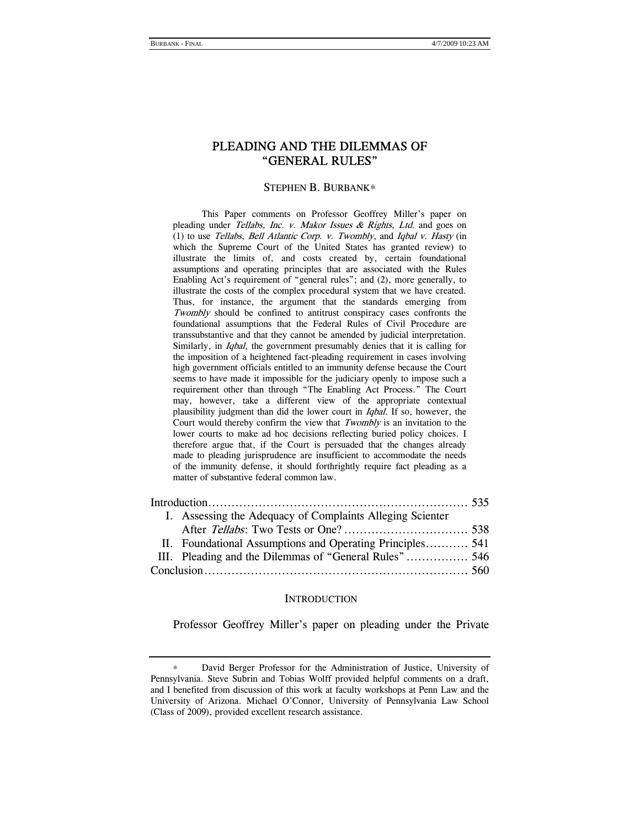# PLEADING AND THE DILEMMAS OF "GENERAL RULES"

#### STEPHEN B. BURBANK∗

 This Paper comments on Professor Geoffrey Miller's paper on pleading under Tellabs, Inc. v. Makor Issues & Rights, Ltd. and goes on (1) to use Tellabs, Bell Atlantic Corp. v. Twombly, and Iqbal v. Hasty (in which the Supreme Court of the United States has granted review) to illustrate the limits of, and costs created by, certain foundational assumptions and operating principles that are associated with the Rules Enabling Act's requirement of "general rules"; and (2), more generally, to illustrate the costs of the complex procedural system that we have created. Thus, for instance, the argument that the standards emerging from Twombly should be confined to antitrust conspiracy cases confronts the foundational assumptions that the Federal Rules of Civil Procedure are transsubstantive and that they cannot be amended by judicial interpretation. Similarly, in *Iqbal*, the government presumably denies that it is calling for the imposition of a heightened fact-pleading requirement in cases involving high government officials entitled to an immunity defense because the Court seems to have made it impossible for the judiciary openly to impose such a requirement other than through "The Enabling Act Process." The Court may, however, take a different view of the appropriate contextual plausibility judgment than did the lower court in Iqbal. If so, however, the Court would thereby confirm the view that Twombly is an invitation to the lower courts to make ad hoc decisions reflecting buried policy choices. I therefore argue that, if the Court is persuaded that the changes already made to pleading jurisprudence are insufficient to accommodate the needs of the immunity defense, it should forthrightly require fact pleading as a matter of substantive federal common law.

|  | I. Assessing the Adequacy of Complaints Alleging Scienter |  |
|--|-----------------------------------------------------------|--|
|  |                                                           |  |
|  | II. Foundational Assumptions and Operating Principles 541 |  |
|  |                                                           |  |
|  |                                                           |  |

#### **INTRODUCTION**

Professor Geoffrey Miller's paper on pleading under the Private

David Berger Professor for the Administration of Justice, University of Pennsylvania. Steve Subrin and Tobias Wolff provided helpful comments on a draft, and I benefited from discussion of this work at faculty workshops at Penn Law and the University of Arizona. Michael O'Connor, University of Pennsylvania Law School (Class of 2009), provided excellent research assistance.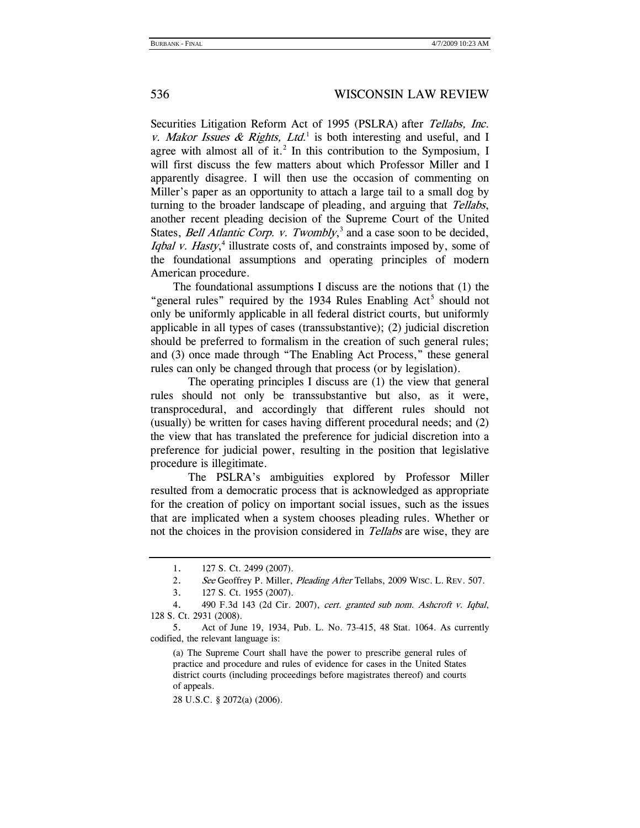Securities Litigation Reform Act of 1995 (PSLRA) after *Tellabs, Inc.* v. Makor Issues & Rights, Ltd.<sup>1</sup> is both interesting and useful, and I agree with almost all of it.<sup>2</sup> In this contribution to the Symposium, I will first discuss the few matters about which Professor Miller and I apparently disagree. I will then use the occasion of commenting on Miller's paper as an opportunity to attach a large tail to a small dog by turning to the broader landscape of pleading, and arguing that Tellabs, another recent pleading decision of the Supreme Court of the United States, *Bell Atlantic Corp. v. Twombly*,<sup>3</sup> and a case soon to be decided, Iqbal v. Hasty,<sup>4</sup> illustrate costs of, and constraints imposed by, some of the foundational assumptions and operating principles of modern American procedure.

 The foundational assumptions I discuss are the notions that (1) the "general rules" required by the 1934 Rules Enabling Act<sup>5</sup> should not only be uniformly applicable in all federal district courts, but uniformly applicable in all types of cases (transsubstantive); (2) judicial discretion should be preferred to formalism in the creation of such general rules; and (3) once made through "The Enabling Act Process," these general rules can only be changed through that process (or by legislation).

The operating principles I discuss are (1) the view that general rules should not only be transsubstantive but also, as it were, transprocedural, and accordingly that different rules should not (usually) be written for cases having different procedural needs; and (2) the view that has translated the preference for judicial discretion into a preference for judicial power, resulting in the position that legislative procedure is illegitimate.

The PSLRA's ambiguities explored by Professor Miller resulted from a democratic process that is acknowledged as appropriate for the creation of policy on important social issues, such as the issues that are implicated when a system chooses pleading rules. Whether or not the choices in the provision considered in *Tellabs* are wise, they are

(a) The Supreme Court shall have the power to prescribe general rules of practice and procedure and rules of evidence for cases in the United States district courts (including proceedings before magistrates thereof) and courts of appeals.

28 U.S.C. § 2072(a) (2006).

 <sup>1. 127</sup> S. Ct. 2499 (2007).

<sup>2.</sup> See Geoffrey P. Miller, Pleading After Tellabs, 2009 WISC. L. REV. 507.

 <sup>3. 127</sup> S. Ct. 1955 (2007).

 <sup>4. 490</sup> F.3d 143 (2d Cir. 2007), cert. granted sub nom. Ashcroft v. Iqbal, 128 S. Ct. 2931 (2008).

 <sup>5.</sup> Act of June 19, 1934, Pub. L. No. 73-415, 48 Stat. 1064. As currently codified, the relevant language is: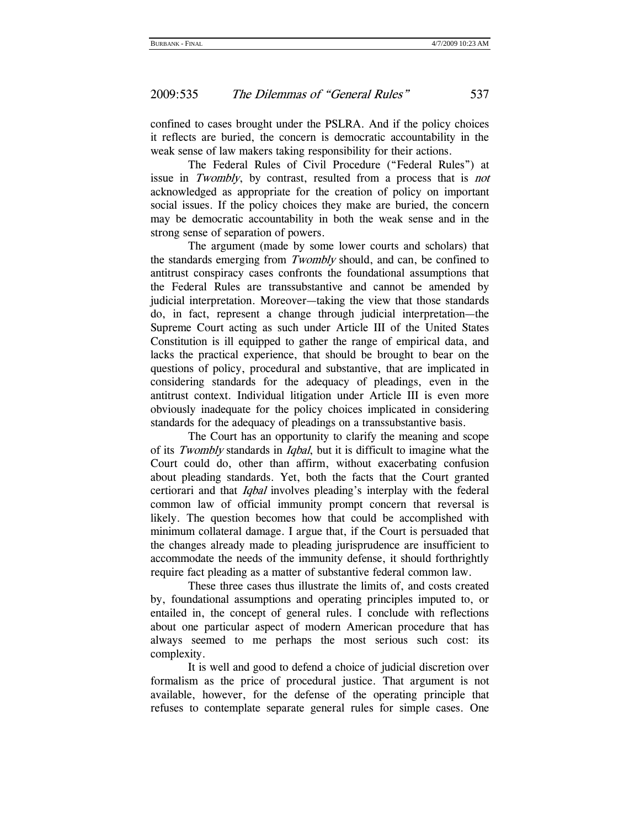confined to cases brought under the PSLRA. And if the policy choices it reflects are buried, the concern is democratic accountability in the weak sense of law makers taking responsibility for their actions.

The Federal Rules of Civil Procedure ("Federal Rules") at issue in Twombly, by contrast, resulted from a process that is not acknowledged as appropriate for the creation of policy on important social issues. If the policy choices they make are buried, the concern may be democratic accountability in both the weak sense and in the strong sense of separation of powers.

The argument (made by some lower courts and scholars) that the standards emerging from Twombly should, and can, be confined to antitrust conspiracy cases confronts the foundational assumptions that the Federal Rules are transsubstantive and cannot be amended by judicial interpretation. Moreover—taking the view that those standards do, in fact, represent a change through judicial interpretation—the Supreme Court acting as such under Article III of the United States Constitution is ill equipped to gather the range of empirical data, and lacks the practical experience, that should be brought to bear on the questions of policy, procedural and substantive, that are implicated in considering standards for the adequacy of pleadings, even in the antitrust context. Individual litigation under Article III is even more obviously inadequate for the policy choices implicated in considering standards for the adequacy of pleadings on a transsubstantive basis.

The Court has an opportunity to clarify the meaning and scope of its Twombly standards in Iqbal, but it is difficult to imagine what the Court could do, other than affirm, without exacerbating confusion about pleading standards. Yet, both the facts that the Court granted certiorari and that *Iqbal* involves pleading's interplay with the federal common law of official immunity prompt concern that reversal is likely. The question becomes how that could be accomplished with minimum collateral damage. I argue that, if the Court is persuaded that the changes already made to pleading jurisprudence are insufficient to accommodate the needs of the immunity defense, it should forthrightly require fact pleading as a matter of substantive federal common law.

These three cases thus illustrate the limits of, and costs created by, foundational assumptions and operating principles imputed to, or entailed in, the concept of general rules. I conclude with reflections about one particular aspect of modern American procedure that has always seemed to me perhaps the most serious such cost: its complexity.

It is well and good to defend a choice of judicial discretion over formalism as the price of procedural justice. That argument is not available, however, for the defense of the operating principle that refuses to contemplate separate general rules for simple cases. One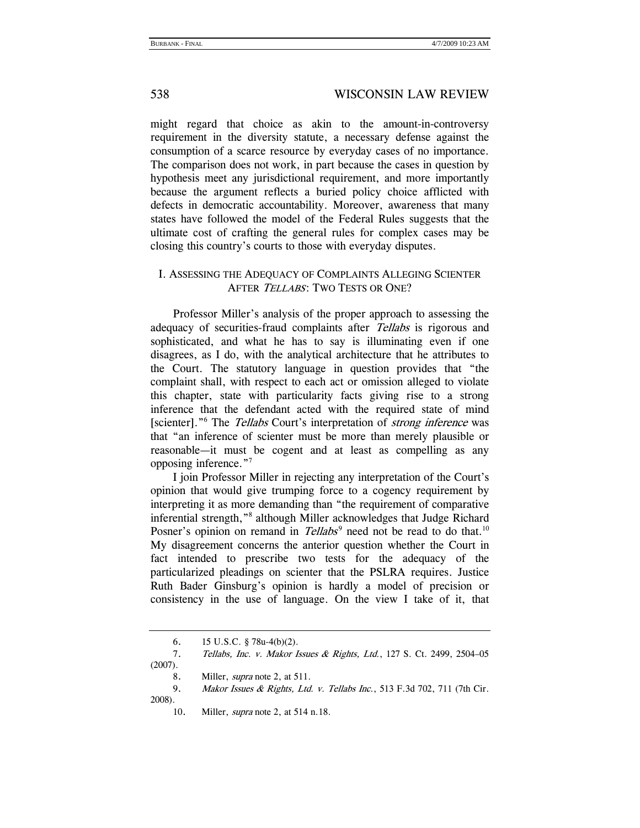might regard that choice as akin to the amount-in-controversy requirement in the diversity statute, a necessary defense against the consumption of a scarce resource by everyday cases of no importance. The comparison does not work, in part because the cases in question by hypothesis meet any jurisdictional requirement, and more importantly because the argument reflects a buried policy choice afflicted with defects in democratic accountability. Moreover, awareness that many states have followed the model of the Federal Rules suggests that the ultimate cost of crafting the general rules for complex cases may be closing this country's courts to those with everyday disputes.

# I. ASSESSING THE ADEQUACY OF COMPLAINTS ALLEGING SCIENTER AFTER TELLABS: TWO TESTS OR ONE?

Professor Miller's analysis of the proper approach to assessing the adequacy of securities-fraud complaints after Tellabs is rigorous and sophisticated, and what he has to say is illuminating even if one disagrees, as I do, with the analytical architecture that he attributes to the Court. The statutory language in question provides that "the complaint shall, with respect to each act or omission alleged to violate this chapter, state with particularity facts giving rise to a strong inference that the defendant acted with the required state of mind [scienter]."<sup>6</sup> The Tellabs Court's interpretation of *strong inference* was that "an inference of scienter must be more than merely plausible or reasonable—it must be cogent and at least as compelling as any opposing inference."7

I join Professor Miller in rejecting any interpretation of the Court's opinion that would give trumping force to a cogency requirement by interpreting it as more demanding than "the requirement of comparative inferential strength,"<sup>8</sup> although Miller acknowledges that Judge Richard Posner's opinion on remand in Tellabs<sup>9</sup> need not be read to do that.<sup>10</sup> My disagreement concerns the anterior question whether the Court in fact intended to prescribe two tests for the adequacy of the particularized pleadings on scienter that the PSLRA requires. Justice Ruth Bader Ginsburg's opinion is hardly a model of precision or consistency in the use of language. On the view I take of it, that

10. Miller, supra note 2, at 514 n.18.

 <sup>6. 15</sup> U.S.C. § 78u-4(b)(2).

<sup>7.</sup> Tellabs, Inc. v. Makor Issues & Rights, Ltd., 127 S. Ct. 2499, 2504–05 (2007).

<sup>8.</sup> Miller, *supra* note 2, at 511.

<sup>9.</sup> Makor Issues & Rights, Ltd. v. Tellabs Inc., 513 F.3d 702, 711 (7th Cir. 2008).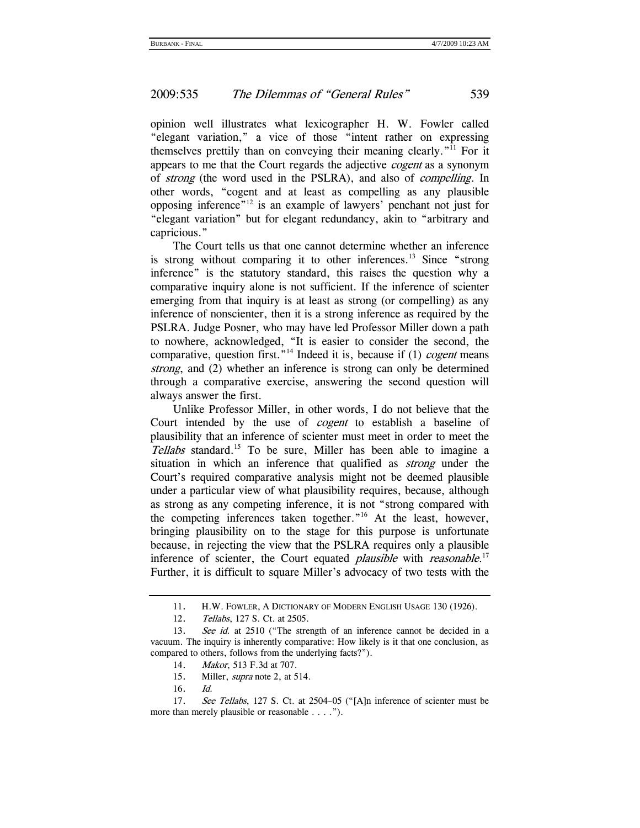opinion well illustrates what lexicographer H. W. Fowler called "elegant variation," a vice of those "intent rather on expressing themselves prettily than on conveying their meaning clearly."11 For it appears to me that the Court regards the adjective cogent as a synonym of strong (the word used in the PSLRA), and also of compelling. In other words, "cogent and at least as compelling as any plausible opposing inference"12 is an example of lawyers' penchant not just for "elegant variation" but for elegant redundancy, akin to "arbitrary and capricious."

The Court tells us that one cannot determine whether an inference is strong without comparing it to other inferences.<sup>13</sup> Since "strong" inference" is the statutory standard, this raises the question why a comparative inquiry alone is not sufficient. If the inference of scienter emerging from that inquiry is at least as strong (or compelling) as any inference of nonscienter, then it is a strong inference as required by the PSLRA. Judge Posner, who may have led Professor Miller down a path to nowhere, acknowledged, "It is easier to consider the second, the comparative, question first."<sup>14</sup> Indeed it is, because if (1) *cogent* means strong, and (2) whether an inference is strong can only be determined through a comparative exercise, answering the second question will always answer the first.

Unlike Professor Miller, in other words, I do not believe that the Court intended by the use of *cogent* to establish a baseline of plausibility that an inference of scienter must meet in order to meet the Tellabs standard.<sup>15</sup> To be sure, Miller has been able to imagine a situation in which an inference that qualified as *strong* under the Court's required comparative analysis might not be deemed plausible under a particular view of what plausibility requires, because, although as strong as any competing inference, it is not "strong compared with the competing inferences taken together."16 At the least, however, bringing plausibility on to the stage for this purpose is unfortunate because, in rejecting the view that the PSLRA requires only a plausible inference of scienter, the Court equated *plausible* with *reasonable*.<sup>17</sup> Further, it is difficult to square Miller's advocacy of two tests with the

14. Makor, 513 F.3d at 707.

16. Id.

 <sup>11.</sup> H.W. FOWLER, A DICTIONARY OF MODERN ENGLISH USAGE 130 (1926).

 <sup>12.</sup> Tellabs, 127 S. Ct. at 2505.

<sup>13.</sup> See id. at 2510 ("The strength of an inference cannot be decided in a vacuum. The inquiry is inherently comparative: How likely is it that one conclusion, as compared to others, follows from the underlying facts?").

 <sup>15.</sup> Miller, supra note 2, at 514.

 <sup>17.</sup> See Tellabs, 127 S. Ct. at 2504–05 ("[A]n inference of scienter must be more than merely plausible or reasonable . . . . ").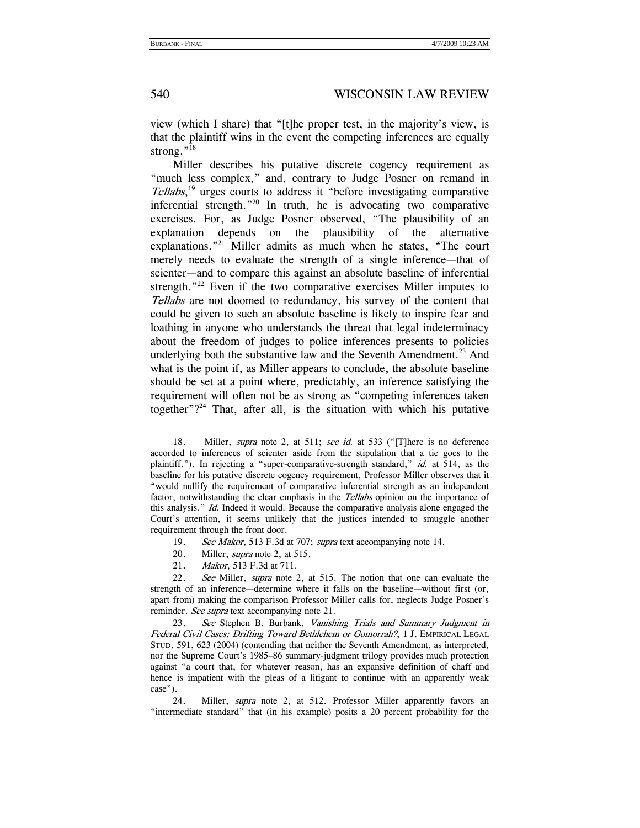view (which I share) that "[t]he proper test, in the majority's view, is that the plaintiff wins in the event the competing inferences are equally strong."<sup>18</sup>

Miller describes his putative discrete cogency requirement as "much less complex," and, contrary to Judge Posner on remand in Tellabs, 19 urges courts to address it "before investigating comparative inferential strength. $120$  In truth, he is advocating two comparative exercises. For, as Judge Posner observed, "The plausibility of an explanation depends on the plausibility of the alternative explanations."<sup>21</sup> Miller admits as much when he states, "The court merely needs to evaluate the strength of a single inference—that of scienter—and to compare this against an absolute baseline of inferential strength."<sup>22</sup> Even if the two comparative exercises Miller imputes to Tellabs are not doomed to redundancy, his survey of the content that could be given to such an absolute baseline is likely to inspire fear and loathing in anyone who understands the threat that legal indeterminacy about the freedom of judges to police inferences presents to policies underlying both the substantive law and the Seventh Amendment.<sup>23</sup> And what is the point if, as Miller appears to conclude, the absolute baseline should be set at a point where, predictably, an inference satisfying the requirement will often not be as strong as "competing inferences taken together" $?^{24}$  That, after all, is the situation with which his putative

- 20. Miller, *supra* note 2, at 515.
- 21. Makor, 513 F.3d at 711.

22. See Miller, supra note 2, at 515. The notion that one can evaluate the strength of an inference—determine where it falls on the baseline—without first (or, apart from) making the comparison Professor Miller calls for, neglects Judge Posner's reminder. See supra text accompanying note 21.

23. See Stephen B. Burbank, Vanishing Trials and Summary Judgment in Federal Civil Cases: Drifting Toward Bethlehem or Gomorrah?, 1 J. EMPIRICAL LEGAL STUD. 591, 623 (2004) (contending that neither the Seventh Amendment, as interpreted, nor the Supreme Court's 1985–86 summary-judgment trilogy provides much protection against "a court that, for whatever reason, has an expansive definition of chaff and hence is impatient with the pleas of a litigant to continue with an apparently weak case").

 24. Miller, supra note 2, at 512. Professor Miller apparently favors an "intermediate standard" that (in his example) posits a 20 percent probability for the

<sup>18.</sup> Miller, *supra* note 2, at 511; see id. at 533 ("[T]here is no deference accorded to inferences of scienter aside from the stipulation that a tie goes to the plaintiff."). In rejecting a "super-comparative-strength standard," id. at 514, as the baseline for his putative discrete cogency requirement, Professor Miller observes that it "would nullify the requirement of comparative inferential strength as an independent factor, notwithstanding the clear emphasis in the *Tellabs* opinion on the importance of this analysis." Id. Indeed it would. Because the comparative analysis alone engaged the Court's attention, it seems unlikely that the justices intended to smuggle another requirement through the front door.

<sup>19.</sup> See Makor, 513 F.3d at 707; supra text accompanying note 14.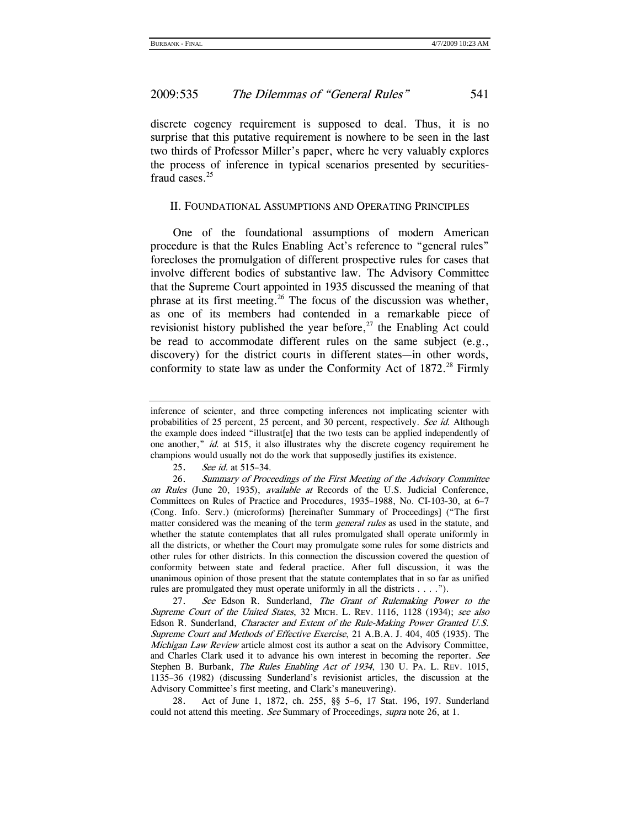discrete cogency requirement is supposed to deal. Thus, it is no surprise that this putative requirement is nowhere to be seen in the last two thirds of Professor Miller's paper, where he very valuably explores the process of inference in typical scenarios presented by securitiesfraud cases.<sup>25</sup>

#### II. FOUNDATIONAL ASSUMPTIONS AND OPERATING PRINCIPLES

One of the foundational assumptions of modern American procedure is that the Rules Enabling Act's reference to "general rules" forecloses the promulgation of different prospective rules for cases that involve different bodies of substantive law. The Advisory Committee that the Supreme Court appointed in 1935 discussed the meaning of that phrase at its first meeting.<sup>26</sup> The focus of the discussion was whether, as one of its members had contended in a remarkable piece of revisionist history published the year before, $^{27}$  the Enabling Act could be read to accommodate different rules on the same subject (e.g., discovery) for the district courts in different states—in other words, conformity to state law as under the Conformity Act of  $1872<sup>28</sup>$  Firmly

25. See id. at 515–34.

inference of scienter, and three competing inferences not implicating scienter with probabilities of 25 percent, 25 percent, and 30 percent, respectively. See id. Although the example does indeed "illustrat[e] that the two tests can be applied independently of one another," id. at 515, it also illustrates why the discrete cogency requirement he champions would usually not do the work that supposedly justifies its existence.

 <sup>26.</sup> Summary of Proceedings of the First Meeting of the Advisory Committee on Rules (June 20, 1935), available at Records of the U.S. Judicial Conference, Committees on Rules of Practice and Procedures, 1935–1988, No. CI-103-30, at 6–7 (Cong. Info. Serv.) (microforms) [hereinafter Summary of Proceedings] ("The first matter considered was the meaning of the term *general rules* as used in the statute, and whether the statute contemplates that all rules promulgated shall operate uniformly in all the districts, or whether the Court may promulgate some rules for some districts and other rules for other districts. In this connection the discussion covered the question of conformity between state and federal practice. After full discussion, it was the unanimous opinion of those present that the statute contemplates that in so far as unified rules are promulgated they must operate uniformly in all the districts . . . .").

<sup>27.</sup> See Edson R. Sunderland, The Grant of Rulemaking Power to the Supreme Court of the United States, 32 MICH. L. REV. 1116, 1128 (1934); see also Edson R. Sunderland, Character and Extent of the Rule-Making Power Granted U.S. Supreme Court and Methods of Effective Exercise, 21 A.B.A. J. 404, 405 (1935). The Michigan Law Review article almost cost its author a seat on the Advisory Committee, and Charles Clark used it to advance his own interest in becoming the reporter. See Stephen B. Burbank, The Rules Enabling Act of 1934, 130 U. PA. L. REV. 1015, 1135–36 (1982) (discussing Sunderland's revisionist articles, the discussion at the Advisory Committee's first meeting, and Clark's maneuvering).

 <sup>28.</sup> Act of June 1, 1872, ch. 255, §§ 5–6, 17 Stat. 196, 197. Sunderland could not attend this meeting. See Summary of Proceedings, supra note 26, at 1.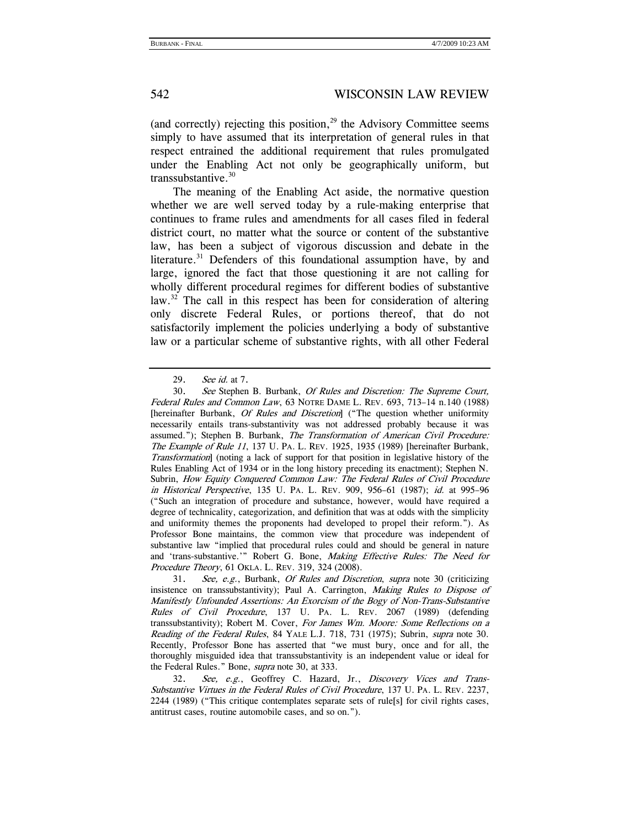(and correctly) rejecting this position, $^{29}$  the Advisory Committee seems simply to have assumed that its interpretation of general rules in that respect entrained the additional requirement that rules promulgated under the Enabling Act not only be geographically uniform, but transsubstantive.30

The meaning of the Enabling Act aside, the normative question whether we are well served today by a rule-making enterprise that continues to frame rules and amendments for all cases filed in federal district court, no matter what the source or content of the substantive law, has been a subject of vigorous discussion and debate in the literature.<sup>31</sup> Defenders of this foundational assumption have, by and large, ignored the fact that those questioning it are not calling for wholly different procedural regimes for different bodies of substantive law.<sup>32</sup> The call in this respect has been for consideration of altering only discrete Federal Rules, or portions thereof, that do not satisfactorily implement the policies underlying a body of substantive law or a particular scheme of substantive rights, with all other Federal

<sup>29.</sup> See id. at 7.

<sup>30.</sup> See Stephen B. Burbank, Of Rules and Discretion: The Supreme Court, Federal Rules and Common Law, 63 NOTRE DAME L. REV. 693, 713–14 n.140 (1988) [hereinafter Burbank, *Of Rules and Discretion*] ("The question whether uniformity necessarily entails trans-substantivity was not addressed probably because it was assumed."); Stephen B. Burbank, The Transformation of American Civil Procedure: The Example of Rule 11, 137 U. PA. L. REV. 1925, 1935 (1989) [hereinafter Burbank, Transformation] (noting a lack of support for that position in legislative history of the Rules Enabling Act of 1934 or in the long history preceding its enactment); Stephen N. Subrin, How Equity Conquered Common Law: The Federal Rules of Civil Procedure in Historical Perspective, 135 U. PA. L. REV. 909, 956–61 (1987); id. at 995–96 ("Such an integration of procedure and substance, however, would have required a degree of technicality, categorization, and definition that was at odds with the simplicity and uniformity themes the proponents had developed to propel their reform."). As Professor Bone maintains, the common view that procedure was independent of substantive law "implied that procedural rules could and should be general in nature and 'trans-substantive.'" Robert G. Bone, Making Effective Rules: The Need for Procedure Theory, 61 OKLA. L. REV. 319, 324 (2008).

<sup>31.</sup> See, e.g., Burbank, Of Rules and Discretion, supra note 30 (criticizing insistence on transsubstantivity); Paul A. Carrington, *Making Rules to Dispose of* Manifestly Unfounded Assertions: An Exorcism of the Bogy of Non-Trans-Substantive Rules of Civil Procedure, 137 U. PA. L. REV. 2067 (1989) (defending transsubstantivity); Robert M. Cover, For James Wm. Moore: Some Reflections on a Reading of the Federal Rules, 84 YALE L.J. 718, 731 (1975); Subrin, supra note 30. Recently, Professor Bone has asserted that "we must bury, once and for all, the thoroughly misguided idea that transsubstantivity is an independent value or ideal for the Federal Rules." Bone, *supra* note 30, at 333.

<sup>32.</sup> See, e.g., Geoffrey C. Hazard, Jr., Discovery Vices and Trans-Substantive Virtues in the Federal Rules of Civil Procedure, 137 U. PA. L. REV. 2237, 2244 (1989) ("This critique contemplates separate sets of rule[s] for civil rights cases, antitrust cases, routine automobile cases, and so on.").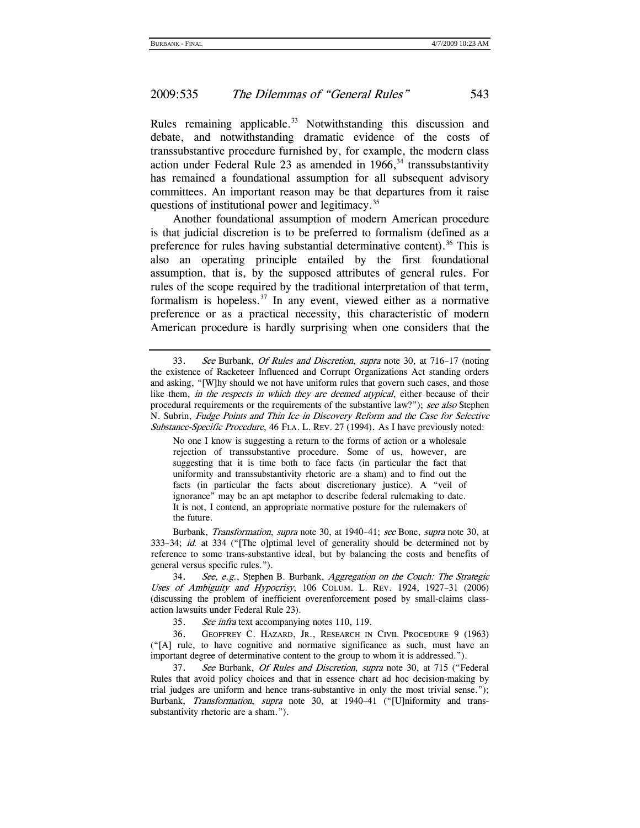Rules remaining applicable.<sup>33</sup> Notwithstanding this discussion and debate, and notwithstanding dramatic evidence of the costs of transsubstantive procedure furnished by, for example, the modern class action under Federal Rule 23 as amended in  $1966$ ,<sup>34</sup> transsubstantivity has remained a foundational assumption for all subsequent advisory committees. An important reason may be that departures from it raise questions of institutional power and legitimacy.<sup>35</sup>

Another foundational assumption of modern American procedure is that judicial discretion is to be preferred to formalism (defined as a preference for rules having substantial determinative content).<sup>36</sup> This is also an operating principle entailed by the first foundational assumption, that is, by the supposed attributes of general rules. For rules of the scope required by the traditional interpretation of that term, formalism is hopeless. $37$  In any event, viewed either as a normative preference or as a practical necessity, this characteristic of modern American procedure is hardly surprising when one considers that the

No one I know is suggesting a return to the forms of action or a wholesale rejection of transsubstantive procedure. Some of us, however, are suggesting that it is time both to face facts (in particular the fact that uniformity and transsubstantivity rhetoric are a sham) and to find out the facts (in particular the facts about discretionary justice). A "veil of ignorance" may be an apt metaphor to describe federal rulemaking to date. It is not, I contend, an appropriate normative posture for the rulemakers of the future.

 Burbank, Transformation, supra note 30, at 1940–41; see Bone, supra note 30, at 333–34; id. at 334 ("[The o]ptimal level of generality should be determined not by reference to some trans-substantive ideal, but by balancing the costs and benefits of general versus specific rules.").

34. See, e.g., Stephen B. Burbank, Aggregation on the Couch: The Strategic Uses of Ambiguity and Hypocrisy, 106 COLUM. L. REV. 1924, 1927–31 (2006) (discussing the problem of inefficient overenforcement posed by small-claims classaction lawsuits under Federal Rule 23).

35. See infra text accompanying notes 110, 119.

 36. GEOFFREY C. HAZARD, JR., RESEARCH IN CIVIL PROCEDURE 9 (1963) ("[A] rule, to have cognitive and normative significance as such, must have an important degree of determinative content to the group to whom it is addressed.").

37. See Burbank, Of Rules and Discretion, supra note 30, at 715 ("Federal Rules that avoid policy choices and that in essence chart ad hoc decision-making by trial judges are uniform and hence trans-substantive in only the most trivial sense."); Burbank, Transformation, supra note 30, at 1940–41 ("[U]niformity and transsubstantivity rhetoric are a sham.").

<sup>33.</sup> See Burbank, *Of Rules and Discretion, supra* note 30, at 716–17 (noting the existence of Racketeer Influenced and Corrupt Organizations Act standing orders and asking, "[W]hy should we not have uniform rules that govern such cases, and those like them, in the respects in which they are deemed atypical, either because of their procedural requirements or the requirements of the substantive law?"); see also Stephen N. Subrin, Fudge Points and Thin Ice in Discovery Reform and the Case for Selective Substance-Specific Procedure, 46 FLA. L. REV. 27 (1994). As I have previously noted: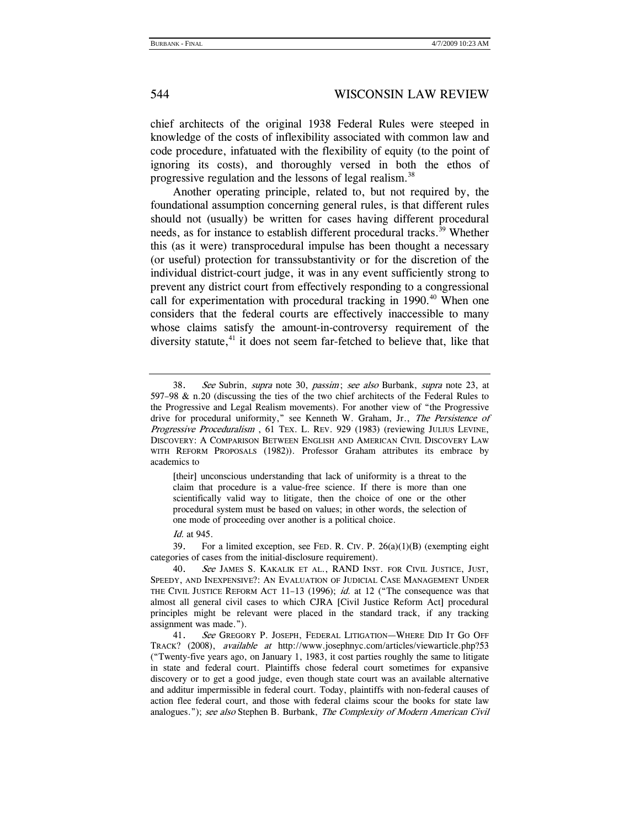chief architects of the original 1938 Federal Rules were steeped in knowledge of the costs of inflexibility associated with common law and code procedure, infatuated with the flexibility of equity (to the point of ignoring its costs), and thoroughly versed in both the ethos of progressive regulation and the lessons of legal realism.<sup>38</sup>

Another operating principle, related to, but not required by, the foundational assumption concerning general rules, is that different rules should not (usually) be written for cases having different procedural needs, as for instance to establish different procedural tracks.<sup>39</sup> Whether this (as it were) transprocedural impulse has been thought a necessary (or useful) protection for transsubstantivity or for the discretion of the individual district-court judge, it was in any event sufficiently strong to prevent any district court from effectively responding to a congressional call for experimentation with procedural tracking in 1990.<sup>40</sup> When one considers that the federal courts are effectively inaccessible to many whose claims satisfy the amount-in-controversy requirement of the diversity statute, $41$  it does not seem far-fetched to believe that, like that

[their] unconscious understanding that lack of uniformity is a threat to the claim that procedure is a value-free science. If there is more than one scientifically valid way to litigate, then the choice of one or the other procedural system must be based on values; in other words, the selection of one mode of proceeding over another is a political choice.

Id. at 945.

39. For a limited exception, see FED. R. CIV. P.  $26(a)(1)(B)$  (exempting eight categories of cases from the initial-disclosure requirement).

40. See JAMES S. KAKALIK ET AL., RAND INST. FOR CIVIL JUSTICE, JUST, SPEEDY, AND INEXPENSIVE?: AN EVALUATION OF JUDICIAL CASE MANAGEMENT UNDER THE CIVIL JUSTICE REFORM ACT 11-13 (1996); id. at 12 ("The consequence was that almost all general civil cases to which CJRA [Civil Justice Reform Act] procedural principles might be relevant were placed in the standard track, if any tracking assignment was made.").

41. See GREGORY P. JOSEPH, FEDERAL LITIGATION—WHERE DID IT GO OFF TRACK? (2008), available at http://www.josephnyc.com/articles/viewarticle.php?53 ("Twenty-five years ago, on January 1, 1983, it cost parties roughly the same to litigate in state and federal court. Plaintiffs chose federal court sometimes for expansive discovery or to get a good judge, even though state court was an available alternative and additur impermissible in federal court. Today, plaintiffs with non-federal causes of action flee federal court, and those with federal claims scour the books for state law analogues."); see also Stephen B. Burbank, The Complexity of Modern American Civil

<sup>38.</sup> See Subrin, supra note 30, passim; see also Burbank, supra note 23, at 597–98  $\&$  n.20 (discussing the ties of the two chief architects of the Federal Rules to the Progressive and Legal Realism movements). For another view of "the Progressive drive for procedural uniformity," see Kenneth W. Graham, Jr., The Persistence of Progressive Proceduralism, 61 TEX. L. REV. 929 (1983) (reviewing JULIUS LEVINE, DISCOVERY: A COMPARISON BETWEEN ENGLISH AND AMERICAN CIVIL DISCOVERY LAW WITH REFORM PROPOSALS (1982)). Professor Graham attributes its embrace by academics to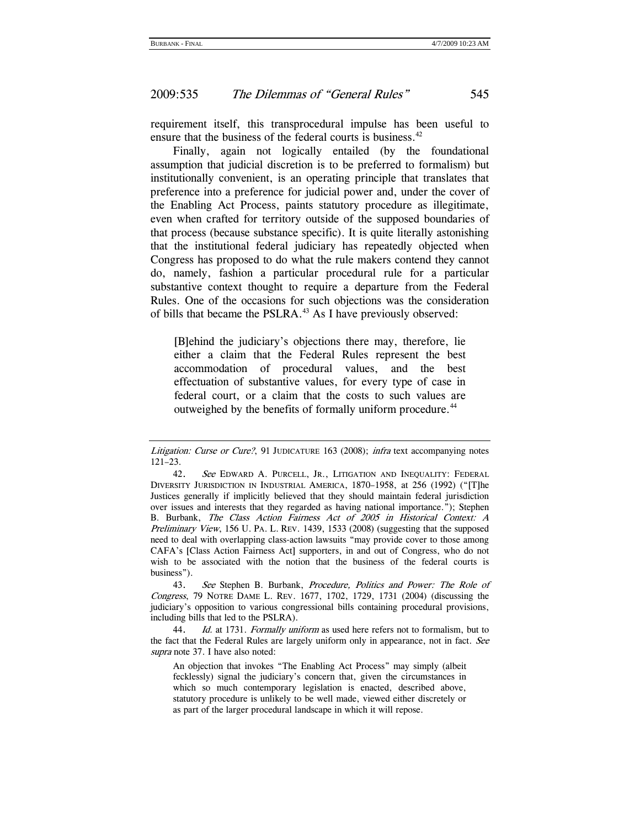requirement itself, this transprocedural impulse has been useful to ensure that the business of the federal courts is business.<sup>42</sup>

Finally, again not logically entailed (by the foundational assumption that judicial discretion is to be preferred to formalism) but institutionally convenient, is an operating principle that translates that preference into a preference for judicial power and, under the cover of the Enabling Act Process, paints statutory procedure as illegitimate, even when crafted for territory outside of the supposed boundaries of that process (because substance specific). It is quite literally astonishing that the institutional federal judiciary has repeatedly objected when Congress has proposed to do what the rule makers contend they cannot do, namely, fashion a particular procedural rule for a particular substantive context thought to require a departure from the Federal Rules. One of the occasions for such objections was the consideration of bills that became the PSLRA.<sup>43</sup> As I have previously observed:

[B]ehind the judiciary's objections there may, therefore, lie either a claim that the Federal Rules represent the best accommodation of procedural values, and the best effectuation of substantive values, for every type of case in federal court, or a claim that the costs to such values are outweighed by the benefits of formally uniform procedure.<sup>44</sup>

43. See Stephen B. Burbank, Procedure, Politics and Power: The Role of Congress, 79 NOTRE DAME L. REV. 1677, 1702, 1729, 1731 (2004) (discussing the judiciary's opposition to various congressional bills containing procedural provisions, including bills that led to the PSLRA).

44. Id. at 1731. Formally uniform as used here refers not to formalism, but to the fact that the Federal Rules are largely uniform only in appearance, not in fact. See supra note 37. I have also noted:

An objection that invokes "The Enabling Act Process" may simply (albeit fecklessly) signal the judiciary's concern that, given the circumstances in which so much contemporary legislation is enacted, described above, statutory procedure is unlikely to be well made, viewed either discretely or as part of the larger procedural landscape in which it will repose.

Litigation: Curse or Cure?, 91 JUDICATURE 163 (2008); infra text accompanying notes 121–23.

<sup>42.</sup> See EDWARD A. PURCELL, JR., LITIGATION AND INEQUALITY: FEDERAL DIVERSITY JURISDICTION IN INDUSTRIAL AMERICA, 1870–1958, at 256 (1992) ("[T]he Justices generally if implicitly believed that they should maintain federal jurisdiction over issues and interests that they regarded as having national importance."); Stephen B. Burbank, The Class Action Fairness Act of 2005 in Historical Context: A Preliminary View, 156 U. PA. L. REV. 1439, 1533 (2008) (suggesting that the supposed need to deal with overlapping class-action lawsuits "may provide cover to those among CAFA's [Class Action Fairness Act] supporters, in and out of Congress, who do not wish to be associated with the notion that the business of the federal courts is business").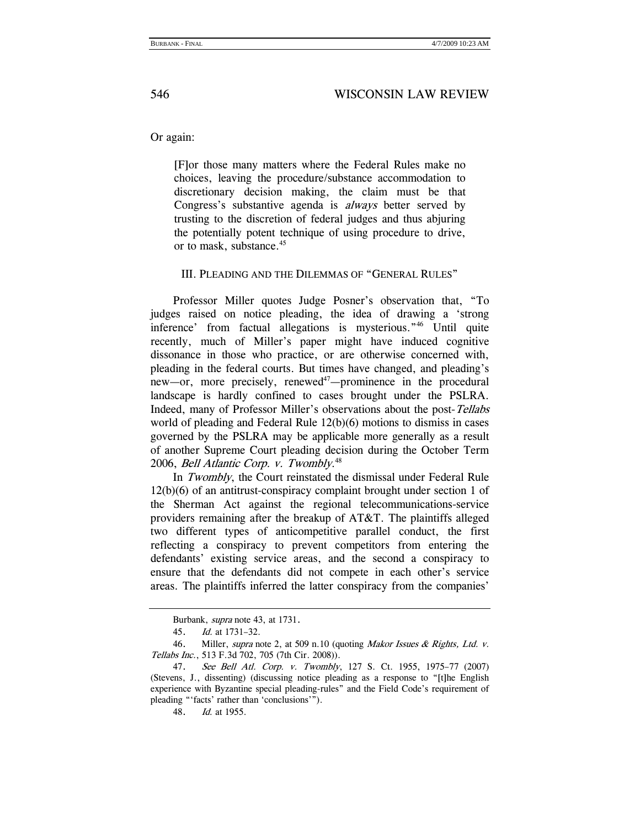Or again:

[F]or those many matters where the Federal Rules make no choices, leaving the procedure/substance accommodation to discretionary decision making, the claim must be that Congress's substantive agenda is always better served by trusting to the discretion of federal judges and thus abjuring the potentially potent technique of using procedure to drive, or to mask, substance.<sup>45</sup>

III. PLEADING AND THE DILEMMAS OF "GENERAL RULES"

Professor Miller quotes Judge Posner's observation that, "To judges raised on notice pleading, the idea of drawing a 'strong inference' from factual allegations is mysterious."46 Until quite recently, much of Miller's paper might have induced cognitive dissonance in those who practice, or are otherwise concerned with, pleading in the federal courts. But times have changed, and pleading's new—or, more precisely, renewed<sup>47</sup>—prominence in the procedural landscape is hardly confined to cases brought under the PSLRA. Indeed, many of Professor Miller's observations about the post-Tellabs world of pleading and Federal Rule 12(b)(6) motions to dismiss in cases governed by the PSLRA may be applicable more generally as a result of another Supreme Court pleading decision during the October Term 2006, *Bell Atlantic Corp. v. Twombly*.<sup>48</sup>

In Twombly, the Court reinstated the dismissal under Federal Rule 12(b)(6) of an antitrust-conspiracy complaint brought under section 1 of the Sherman Act against the regional telecommunications-service providers remaining after the breakup of AT&T. The plaintiffs alleged two different types of anticompetitive parallel conduct, the first reflecting a conspiracy to prevent competitors from entering the defendants' existing service areas, and the second a conspiracy to ensure that the defendants did not compete in each other's service areas. The plaintiffs inferred the latter conspiracy from the companies'

Burbank, supra note 43, at 1731.

<sup>45.</sup> Id. at 1731–32.

<sup>46.</sup> Miller, supra note 2, at 509 n.10 (quoting Makor Issues & Rights, Ltd. v. Tellabs Inc., 513 F.3d 702, 705 (7th Cir. 2008)).

<sup>47.</sup> See Bell Atl. Corp. v. Twombly, 127 S. Ct. 1955, 1975–77 (2007) (Stevens, J., dissenting) (discussing notice pleading as a response to "[t]he English experience with Byzantine special pleading-rules" and the Field Code's requirement of pleading "'facts' rather than 'conclusions'").

<sup>48.</sup> Id. at 1955.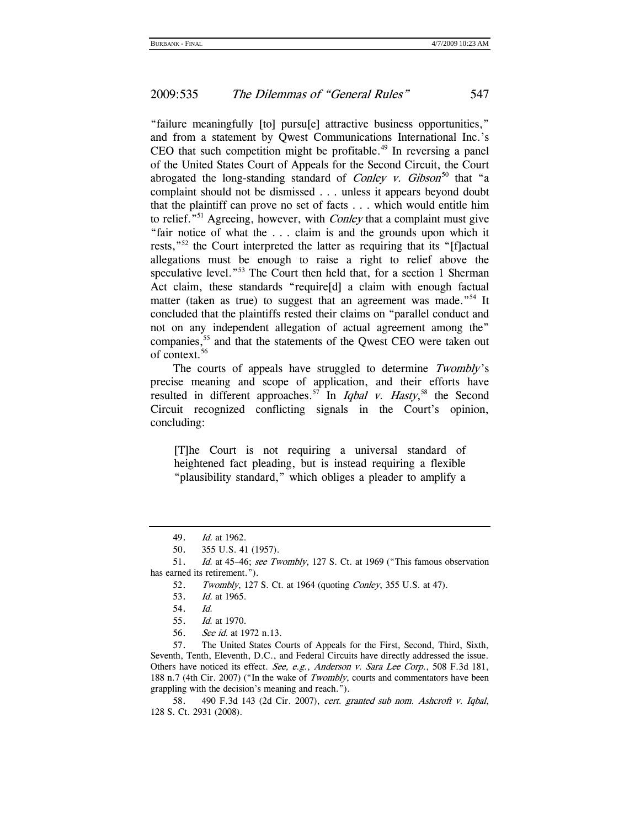"failure meaningfully [to] pursu[e] attractive business opportunities," and from a statement by Qwest Communications International Inc.'s CEO that such competition might be profitable.<sup> $49$ </sup> In reversing a panel of the United States Court of Appeals for the Second Circuit, the Court abrogated the long-standing standard of *Conley v. Gibson*<sup>50</sup> that "a complaint should not be dismissed . . . unless it appears beyond doubt that the plaintiff can prove no set of facts . . . which would entitle him to relief."<sup>51</sup> Agreeing, however, with *Conley* that a complaint must give "fair notice of what the . . . claim is and the grounds upon which it rests,"<sup>52</sup> the Court interpreted the latter as requiring that its "[f]actual allegations must be enough to raise a right to relief above the speculative level."<sup>53</sup> The Court then held that, for a section 1 Sherman Act claim, these standards "require[d] a claim with enough factual matter (taken as true) to suggest that an agreement was made.<sup>"54</sup> It concluded that the plaintiffs rested their claims on "parallel conduct and not on any independent allegation of actual agreement among the" companies,<sup>55</sup> and that the statements of the Qwest CEO were taken out of context.56

The courts of appeals have struggled to determine Twombly's precise meaning and scope of application, and their efforts have resulted in different approaches.<sup>57</sup> In *Iqbal v. Hasty*,<sup>58</sup> the Second Circuit recognized conflicting signals in the Court's opinion, concluding:

[T]he Court is not requiring a universal standard of heightened fact pleading, but is instead requiring a flexible "plausibility standard," which obliges a pleader to amplify a

 57. The United States Courts of Appeals for the First, Second, Third, Sixth, Seventh, Tenth, Eleventh, D.C., and Federal Circuits have directly addressed the issue. Others have noticed its effect. See, e.g., Anderson v. Sara Lee Corp., 508 F.3d 181, 188 n.7 (4th Cir. 2007) ("In the wake of *Twombly*, courts and commentators have been grappling with the decision's meaning and reach.").

 58. 490 F.3d 143 (2d Cir. 2007), cert. granted sub nom. Ashcroft v. Iqbal, 128 S. Ct. 2931 (2008).

<sup>49.</sup> Id. at 1962.

 <sup>50. 355</sup> U.S. 41 (1957).

<sup>51.</sup> Id. at 45-46; see Twombly, 127 S. Ct. at 1969 ("This famous observation has earned its retirement.").

<sup>52.</sup> Twombly, 127 S. Ct. at 1964 (quoting Conley, 355 U.S. at 47).

<sup>53.</sup> Id. at 1965.

 <sup>54.</sup> Id.

<sup>55.</sup> Id. at 1970.

<sup>56.</sup> See id. at 1972 n.13.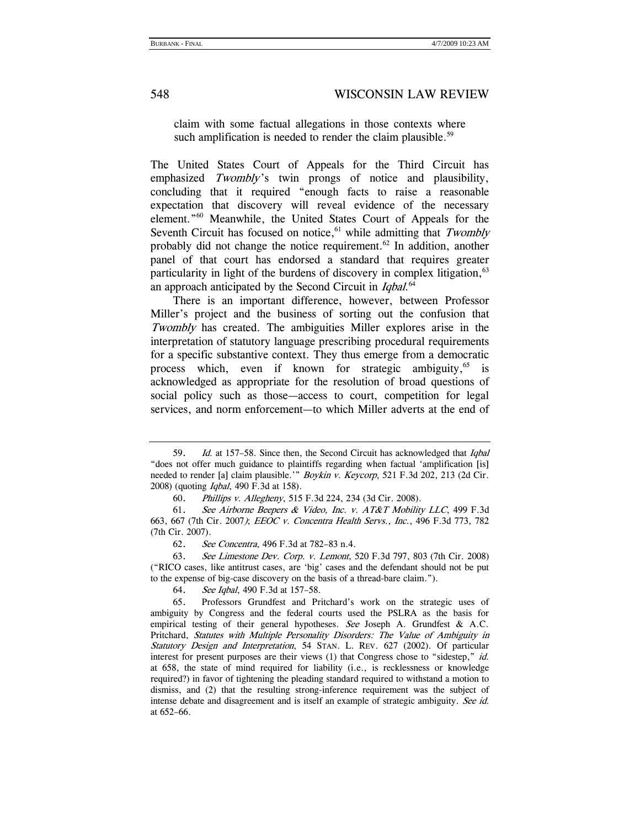claim with some factual allegations in those contexts where such amplification is needed to render the claim plausible.<sup>59</sup>

The United States Court of Appeals for the Third Circuit has emphasized Twombly's twin prongs of notice and plausibility, concluding that it required "enough facts to raise a reasonable expectation that discovery will reveal evidence of the necessary element."60 Meanwhile, the United States Court of Appeals for the Seventh Circuit has focused on notice, $61$  while admitting that Twombly probably did not change the notice requirement.<sup>62</sup> In addition, another panel of that court has endorsed a standard that requires greater particularity in light of the burdens of discovery in complex litigation, <sup>63</sup> an approach anticipated by the Second Circuit in Iqbal.<sup>64</sup>

There is an important difference, however, between Professor Miller's project and the business of sorting out the confusion that Twombly has created. The ambiguities Miller explores arise in the interpretation of statutory language prescribing procedural requirements for a specific substantive context. They thus emerge from a democratic process which, even if known for strategic ambiguity,  $65$  is acknowledged as appropriate for the resolution of broad questions of social policy such as those—access to court, competition for legal services, and norm enforcement—to which Miller adverts at the end of

64. See Iqbal, 490 F.3d at 157–58.

<sup>59.</sup> Id. at 157–58. Since then, the Second Circuit has acknowledged that Igbal "does not offer much guidance to plaintiffs regarding when factual 'amplification [is] needed to render [a] claim plausible.'" Boykin v. Keycorp, 521 F.3d 202, 213 (2d Cir. 2008) (quoting Iqbal, 490 F.3d at 158).

 <sup>60.</sup> Phillips v. Allegheny, 515 F.3d 224, 234 (3d Cir. 2008).

<sup>61.</sup> See Airborne Beepers & Video, Inc. v. AT&T Mobility LLC, 499 F.3d 663, 667 (7th Cir. 2007); EEOC v. Concentra Health Servs., Inc., 496 F.3d 773, 782 (7th Cir. 2007).

<sup>62.</sup> See Concentra, 496 F.3d at 782–83 n.4.

<sup>63.</sup> See Limestone Dev. Corp. v. Lemont, 520 F.3d 797, 803 (7th Cir. 2008) ("RICO cases, like antitrust cases, are 'big' cases and the defendant should not be put to the expense of big-case discovery on the basis of a thread-bare claim.").

 <sup>65.</sup> Professors Grundfest and Pritchard's work on the strategic uses of ambiguity by Congress and the federal courts used the PSLRA as the basis for empirical testing of their general hypotheses. See Joseph A. Grundfest & A.C. Pritchard, Statutes with Multiple Personality Disorders: The Value of Ambiguity in Statutory Design and Interpretation, 54 STAN. L. REV. 627 (2002). Of particular interest for present purposes are their views (1) that Congress chose to "sidestep," id. at 658, the state of mind required for liability (i.e., is recklessness or knowledge required?) in favor of tightening the pleading standard required to withstand a motion to dismiss, and (2) that the resulting strong-inference requirement was the subject of intense debate and disagreement and is itself an example of strategic ambiguity. See id. at 652–66.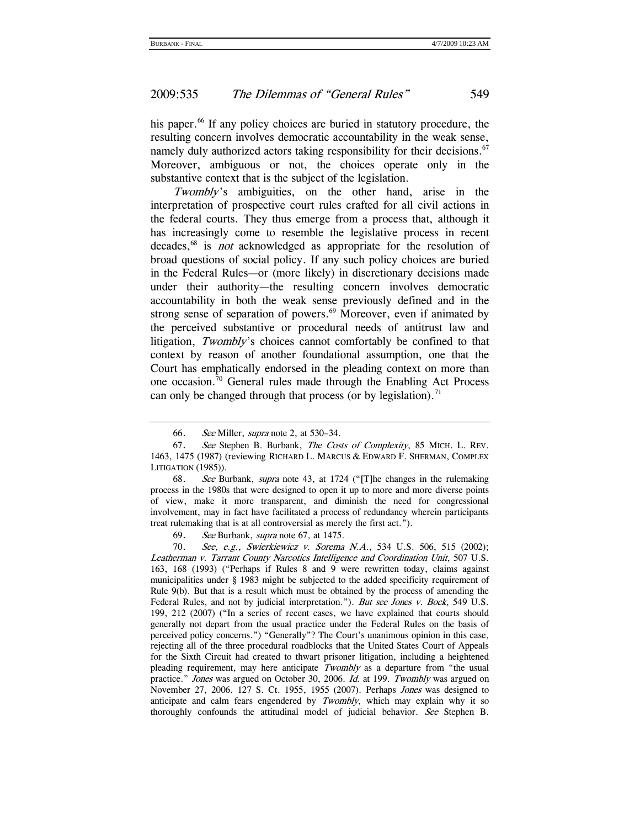his paper.<sup>66</sup> If any policy choices are buried in statutory procedure, the resulting concern involves democratic accountability in the weak sense, namely duly authorized actors taking responsibility for their decisions.<sup>67</sup> Moreover, ambiguous or not, the choices operate only in the substantive context that is the subject of the legislation.

Twombly's ambiguities, on the other hand, arise in the interpretation of prospective court rules crafted for all civil actions in the federal courts. They thus emerge from a process that, although it has increasingly come to resemble the legislative process in recent decades,<sup>68</sup> is *not* acknowledged as appropriate for the resolution of broad questions of social policy. If any such policy choices are buried in the Federal Rules—or (more likely) in discretionary decisions made under their authority—the resulting concern involves democratic accountability in both the weak sense previously defined and in the strong sense of separation of powers.<sup>69</sup> Moreover, even if animated by the perceived substantive or procedural needs of antitrust law and litigation, Twombly's choices cannot comfortably be confined to that context by reason of another foundational assumption, one that the Court has emphatically endorsed in the pleading context on more than one occasion.70 General rules made through the Enabling Act Process can only be changed through that process (or by legislation).<sup>71</sup>

69. See Burbank, supra note 67, at 1475.

<sup>66.</sup> See Miller, supra note 2, at 530–34.

<sup>67.</sup> See Stephen B. Burbank, The Costs of Complexity, 85 MICH. L. REV. 1463, 1475 (1987) (reviewing RICHARD L. MARCUS & EDWARD F. SHERMAN, COMPLEX LITIGATION (1985)).

<sup>68.</sup> See Burbank, supra note 43, at 1724 ("[T]he changes in the rulemaking process in the 1980s that were designed to open it up to more and more diverse points of view, make it more transparent, and diminish the need for congressional involvement, may in fact have facilitated a process of redundancy wherein participants treat rulemaking that is at all controversial as merely the first act.").

<sup>70.</sup> See, e.g., Swierkiewicz v. Sorema N.A., 534 U.S. 506, 515 (2002); Leatherman v. Tarrant County Narcotics Intelligence and Coordination Unit, 507 U.S. 163, 168 (1993) ("Perhaps if Rules 8 and 9 were rewritten today, claims against municipalities under § 1983 might be subjected to the added specificity requirement of Rule 9(b). But that is a result which must be obtained by the process of amending the Federal Rules, and not by judicial interpretation."). But see Jones v. Bock, 549 U.S. 199, 212 (2007) ("In a series of recent cases, we have explained that courts should generally not depart from the usual practice under the Federal Rules on the basis of perceived policy concerns.") "Generally"? The Court's unanimous opinion in this case, rejecting all of the three procedural roadblocks that the United States Court of Appeals for the Sixth Circuit had created to thwart prisoner litigation, including a heightened pleading requirement, may here anticipate Twombly as a departure from "the usual practice." Jones was argued on October 30, 2006. Id. at 199. Twombly was argued on November 27, 2006. 127 S. Ct. 1955, 1955 (2007). Perhaps Jones was designed to anticipate and calm fears engendered by  $Twombly$ , which may explain why it so thoroughly confounds the attitudinal model of judicial behavior. See Stephen B.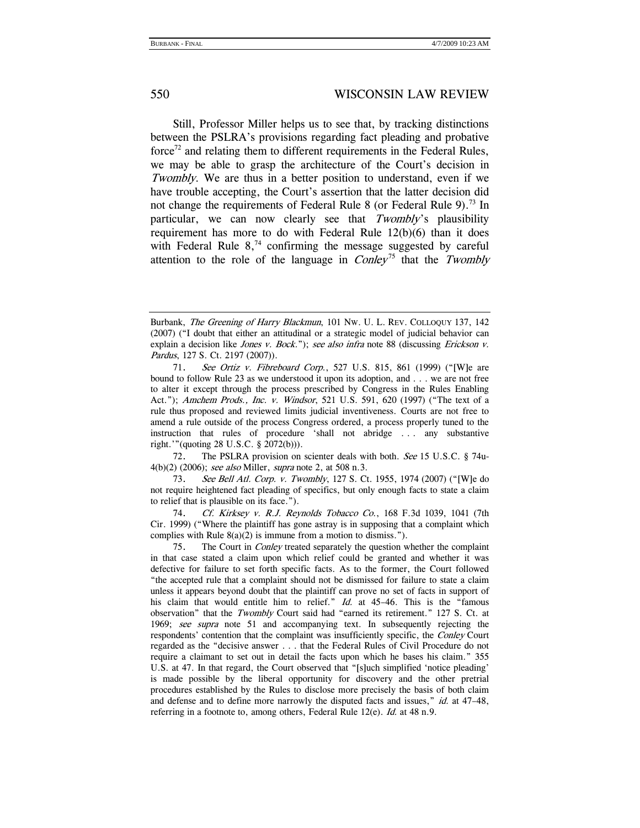Still, Professor Miller helps us to see that, by tracking distinctions between the PSLRA's provisions regarding fact pleading and probative force<sup> $72$ </sup> and relating them to different requirements in the Federal Rules, we may be able to grasp the architecture of the Court's decision in Twombly. We are thus in a better position to understand, even if we have trouble accepting, the Court's assertion that the latter decision did not change the requirements of Federal Rule 8 (or Federal Rule 9).<sup>73</sup> In particular, we can now clearly see that Twombly's plausibility requirement has more to do with Federal Rule 12(b)(6) than it does with Federal Rule  $8<sup>74</sup>$  confirming the message suggested by careful attention to the role of the language in  $Conley^{75}$  that the Twombly

 72. The PSLRA provision on scienter deals with both. See 15 U.S.C. § 74u-4(b)(2) (2006); see also Miller, supra note 2, at 508 n.3.

73. See Bell Atl. Corp. v. Twombly, 127 S. Ct. 1955, 1974 (2007) ("[W]e do not require heightened fact pleading of specifics, but only enough facts to state a claim to relief that is plausible on its face.").

74. Cf. Kirksey v. R.J. Reynolds Tobacco Co., 168 F.3d 1039, 1041 (7th Cir. 1999) ("Where the plaintiff has gone astray is in supposing that a complaint which complies with Rule  $8(a)(2)$  is immune from a motion to dismiss.").

Burbank, The Greening of Harry Blackmun, 101 NW. U. L. REV. COLLOQUY 137, 142 (2007) ("I doubt that either an attitudinal or a strategic model of judicial behavior can explain a decision like *Jones v. Bock.*"); see also infra note 88 (discussing *Erickson v.* Pardus, 127 S. Ct. 2197 (2007)).

<sup>71.</sup> See Ortiz v. Fibreboard Corp., 527 U.S. 815, 861 (1999) ("[W]e are bound to follow Rule 23 as we understood it upon its adoption, and . . . we are not free to alter it except through the process prescribed by Congress in the Rules Enabling Act."); Amchem Prods., Inc. v. Windsor, 521 U.S. 591, 620 (1997) ("The text of a rule thus proposed and reviewed limits judicial inventiveness. Courts are not free to amend a rule outside of the process Congress ordered, a process properly tuned to the instruction that rules of procedure 'shall not abridge . . . any substantive right.'"(quoting 28 U.S.C. § 2072(b))).

 <sup>75.</sup> The Court in Conley treated separately the question whether the complaint in that case stated a claim upon which relief could be granted and whether it was defective for failure to set forth specific facts. As to the former, the Court followed "the accepted rule that a complaint should not be dismissed for failure to state a claim unless it appears beyond doubt that the plaintiff can prove no set of facts in support of his claim that would entitle him to relief." Id. at 45-46. This is the "famous observation" that the Twombly Court said had "earned its retirement." 127 S. Ct. at 1969; see supra note 51 and accompanying text. In subsequently rejecting the respondents' contention that the complaint was insufficiently specific, the Conley Court regarded as the "decisive answer . . . that the Federal Rules of Civil Procedure do not require a claimant to set out in detail the facts upon which he bases his claim." 355 U.S. at 47. In that regard, the Court observed that "[s]uch simplified 'notice pleading' is made possible by the liberal opportunity for discovery and the other pretrial procedures established by the Rules to disclose more precisely the basis of both claim and defense and to define more narrowly the disputed facts and issues,"  $id$  at 47–48, referring in a footnote to, among others, Federal Rule 12(e). Id. at 48 n.9.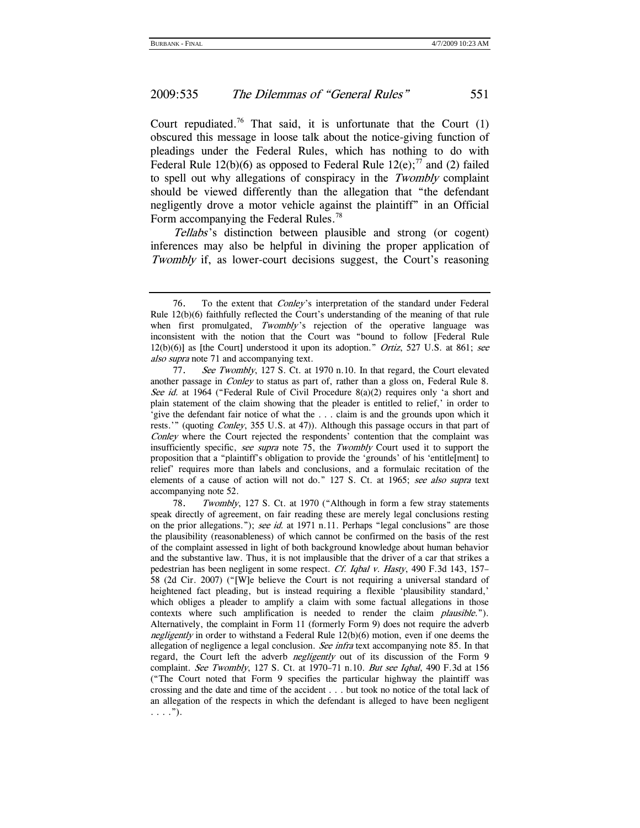Court repudiated.<sup>76</sup> That said, it is unfortunate that the Court  $(1)$ obscured this message in loose talk about the notice-giving function of pleadings under the Federal Rules, which has nothing to do with Federal Rule 12(b)(6) as opposed to Federal Rule 12(e);<sup>77</sup> and (2) failed to spell out why allegations of conspiracy in the Twombly complaint should be viewed differently than the allegation that "the defendant negligently drove a motor vehicle against the plaintiff" in an Official Form accompanying the Federal Rules.<sup>78</sup>

Tellabs's distinction between plausible and strong (or cogent) inferences may also be helpful in divining the proper application of Twombly if, as lower-court decisions suggest, the Court's reasoning

 <sup>76.</sup> To the extent that Conley's interpretation of the standard under Federal Rule 12(b)(6) faithfully reflected the Court's understanding of the meaning of that rule when first promulgated,  $Twomb/y$  rejection of the operative language was inconsistent with the notion that the Court was "bound to follow [Federal Rule  $12(b)(6)$ ] as [the Court] understood it upon its adoption." *Ortiz*, 527 U.S. at 861; see also supra note 71 and accompanying text.

<sup>77.</sup> See Twombly, 127 S. Ct. at 1970 n.10. In that regard, the Court elevated another passage in Conley to status as part of, rather than a gloss on, Federal Rule 8. See id. at 1964 ("Federal Rule of Civil Procedure  $8(a)(2)$  requires only 'a short and plain statement of the claim showing that the pleader is entitled to relief,' in order to 'give the defendant fair notice of what the . . . claim is and the grounds upon which it rests.'" (quoting *Conley*, 355 U.S. at 47)). Although this passage occurs in that part of Conley where the Court rejected the respondents' contention that the complaint was insufficiently specific, see supra note 75, the Twombly Court used it to support the proposition that a "plaintiff's obligation to provide the 'grounds' of his 'entitle[ment] to relief' requires more than labels and conclusions, and a formulaic recitation of the elements of a cause of action will not do." 127 S. Ct. at 1965; see also supra text accompanying note 52.

 <sup>78.</sup> Twombly, 127 S. Ct. at 1970 ("Although in form a few stray statements speak directly of agreement, on fair reading these are merely legal conclusions resting on the prior allegations."); see id. at 1971 n.11. Perhaps "legal conclusions" are those the plausibility (reasonableness) of which cannot be confirmed on the basis of the rest of the complaint assessed in light of both background knowledge about human behavior and the substantive law. Thus, it is not implausible that the driver of a car that strikes a pedestrian has been negligent in some respect. Cf. Iqbal v. Hasty, 490 F.3d 143, 157– 58 (2d Cir. 2007) ("[W]e believe the Court is not requiring a universal standard of heightened fact pleading, but is instead requiring a flexible 'plausibility standard,' which obliges a pleader to amplify a claim with some factual allegations in those contexts where such amplification is needed to render the claim plausible."). Alternatively, the complaint in Form 11 (formerly Form 9) does not require the adverb negligently in order to withstand a Federal Rule  $12(b)(6)$  motion, even if one deems the allegation of negligence a legal conclusion. See infra text accompanying note 85. In that regard, the Court left the adverb *negligently* out of its discussion of the Form 9 complaint. See Twombly, 127 S. Ct. at 1970–71 n.10. But see Iqbal, 490 F.3d at 156 ("The Court noted that Form 9 specifies the particular highway the plaintiff was crossing and the date and time of the accident . . . but took no notice of the total lack of an allegation of the respects in which the defendant is alleged to have been negligent  $\ldots$ .").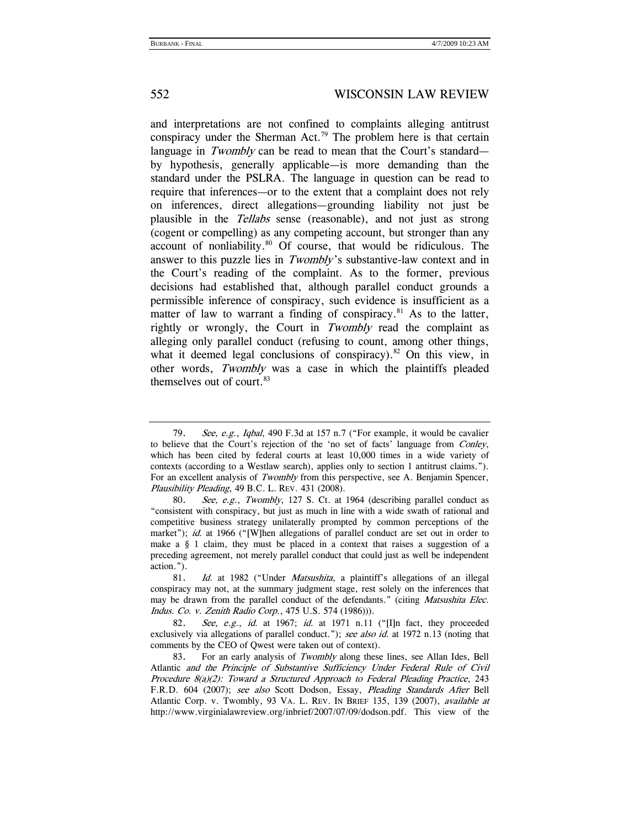and interpretations are not confined to complaints alleging antitrust conspiracy under the Sherman Act.<sup>79</sup> The problem here is that certain language in Twombly can be read to mean that the Court's standard by hypothesis, generally applicable—is more demanding than the standard under the PSLRA. The language in question can be read to require that inferences—or to the extent that a complaint does not rely on inferences, direct allegations—grounding liability not just be plausible in the Tellabs sense (reasonable), and not just as strong (cogent or compelling) as any competing account, but stronger than any account of nonliability. $80$  Of course, that would be ridiculous. The answer to this puzzle lies in *Twombly's* substantive-law context and in the Court's reading of the complaint. As to the former, previous decisions had established that, although parallel conduct grounds a permissible inference of conspiracy, such evidence is insufficient as a matter of law to warrant a finding of conspiracy. $81$  As to the latter, rightly or wrongly, the Court in Twombly read the complaint as alleging only parallel conduct (refusing to count, among other things, what it deemed legal conclusions of conspiracy).<sup>82</sup> On this view, in other words, Twombly was a case in which the plaintiffs pleaded themselves out of court.<sup>83</sup>

<sup>79.</sup> See, e.g., Iqbal, 490 F.3d at 157 n.7 ("For example, it would be cavalier to believe that the Court's rejection of the 'no set of facts' language from Conley, which has been cited by federal courts at least 10,000 times in a wide variety of contexts (according to a Westlaw search), applies only to section 1 antitrust claims."). For an excellent analysis of Twombly from this perspective, see A. Benjamin Spencer, Plausibility Pleading, 49 B.C. L. REV. 431 (2008).

<sup>80.</sup> See, e.g., Twombly, 127 S. Ct. at 1964 (describing parallel conduct as "consistent with conspiracy, but just as much in line with a wide swath of rational and competitive business strategy unilaterally prompted by common perceptions of the market"); id. at 1966 ("[W]hen allegations of parallel conduct are set out in order to make a  $\S$  1 claim, they must be placed in a context that raises a suggestion of a preceding agreement, not merely parallel conduct that could just as well be independent action.").

<sup>81.</sup> Id. at 1982 ("Under *Matsushita*, a plaintiff's allegations of an illegal conspiracy may not, at the summary judgment stage, rest solely on the inferences that may be drawn from the parallel conduct of the defendants." (citing *Matsushita Elec.* Indus. Co. v. Zenith Radio Corp., 475 U.S. 574 (1986))).

<sup>82.</sup> See, e.g., id. at 1967; id. at 1971 n.11 ("I]n fact, they proceeded exclusively via allegations of parallel conduct."); see also id. at 1972 n.13 (noting that comments by the CEO of Qwest were taken out of context).

<sup>83.</sup> For an early analysis of Twombly along these lines, see Allan Ides, Bell Atlantic and the Principle of Substantive Sufficiency Under Federal Rule of Civil Procedure 8(a)(2): Toward a Structured Approach to Federal Pleading Practice, 243 F.R.D. 604 (2007); see also Scott Dodson, Essay, Pleading Standards After Bell Atlantic Corp. v. Twombly, 93 VA. L. REV. IN BRIEF 135, 139 (2007), available at http://www.virginialawreview.org/inbrief/2007/07/09/dodson.pdf. This view of the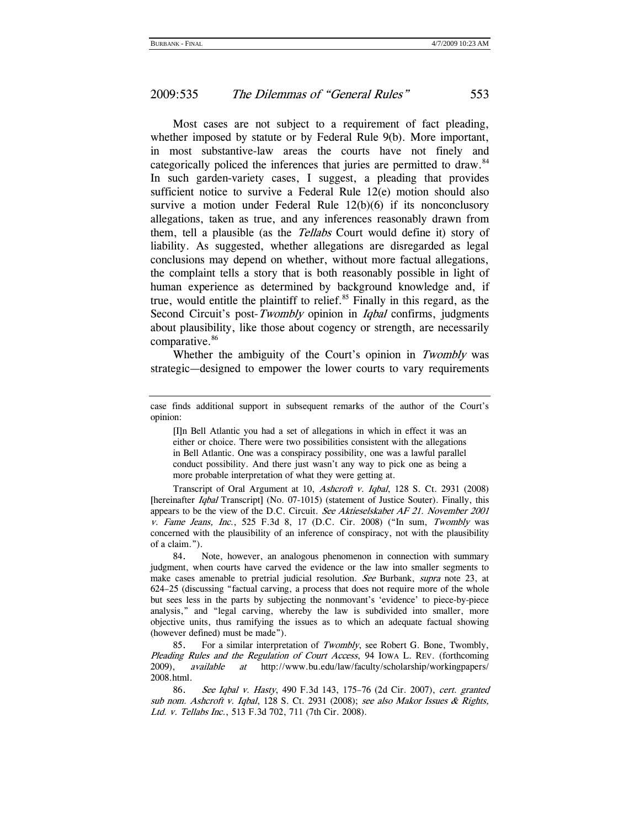Most cases are not subject to a requirement of fact pleading, whether imposed by statute or by Federal Rule 9(b). More important, in most substantive-law areas the courts have not finely and categorically policed the inferences that juries are permitted to draw.<sup>84</sup> In such garden-variety cases, I suggest, a pleading that provides sufficient notice to survive a Federal Rule 12(e) motion should also survive a motion under Federal Rule 12(b)(6) if its nonconclusory allegations, taken as true, and any inferences reasonably drawn from them, tell a plausible (as the Tellabs Court would define it) story of liability. As suggested, whether allegations are disregarded as legal conclusions may depend on whether, without more factual allegations, the complaint tells a story that is both reasonably possible in light of human experience as determined by background knowledge and, if true, would entitle the plaintiff to relief. $85$  Finally in this regard, as the Second Circuit's post-Twombly opinion in *Iqbal* confirms, judgments about plausibility, like those about cogency or strength, are necessarily comparative.<sup>86</sup>

Whether the ambiguity of the Court's opinion in Twombly was strategic—designed to empower the lower courts to vary requirements

[I]n Bell Atlantic you had a set of allegations in which in effect it was an either or choice. There were two possibilities consistent with the allegations in Bell Atlantic. One was a conspiracy possibility, one was a lawful parallel conduct possibility. And there just wasn't any way to pick one as being a more probable interpretation of what they were getting at.

 Transcript of Oral Argument at 10, Ashcroft v. Iqbal, 128 S. Ct. 2931 (2008) [hereinafter *Iqbal* Transcript] (No. 07-1015) (statement of Justice Souter). Finally, this appears to be the view of the D.C. Circuit. See Aktieselskabet AF 21. November 2001 v. Fame Jeans, Inc., 525 F.3d 8, 17 (D.C. Cir. 2008) ("In sum, Twombly was concerned with the plausibility of an inference of conspiracy, not with the plausibility of a claim.").

 84. Note, however, an analogous phenomenon in connection with summary judgment, when courts have carved the evidence or the law into smaller segments to make cases amenable to pretrial judicial resolution. See Burbank, supra note 23, at 624–25 (discussing "factual carving, a process that does not require more of the whole but sees less in the parts by subjecting the nonmovant's 'evidence' to piece-by-piece analysis," and "legal carving, whereby the law is subdivided into smaller, more objective units, thus ramifying the issues as to which an adequate factual showing (however defined) must be made").

 85. For a similar interpretation of Twombly, see Robert G. Bone, Twombly, Pleading Rules and the Regulation of Court Access, 94 Iowa L. REV. (forthcoming 2009), available at http://www.bu.edu/law/faculty/scholarship/workingpapers/ 2008.html.

86. See Iqbal v. Hasty, 490 F.3d 143, 175–76 (2d Cir. 2007), cert. granted sub nom. Ashcroft v. Iqbal, 128 S. Ct. 2931 (2008); see also Makor Issues & Rights, Ltd. v. Tellabs Inc., 513 F.3d 702, 711 (7th Cir. 2008).

case finds additional support in subsequent remarks of the author of the Court's opinion: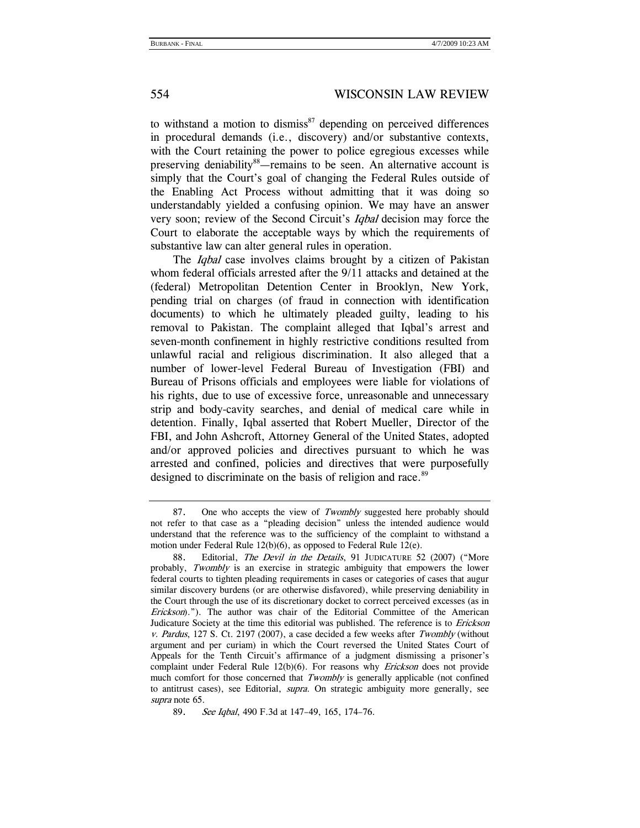to withstand a motion to dismiss $^{87}$  depending on perceived differences in procedural demands (i.e., discovery) and/or substantive contexts, with the Court retaining the power to police egregious excesses while preserving deniability<sup>88</sup>—remains to be seen. An alternative account is simply that the Court's goal of changing the Federal Rules outside of the Enabling Act Process without admitting that it was doing so understandably yielded a confusing opinion. We may have an answer very soon; review of the Second Circuit's Iqbal decision may force the Court to elaborate the acceptable ways by which the requirements of substantive law can alter general rules in operation.

The *Igbal* case involves claims brought by a citizen of Pakistan whom federal officials arrested after the 9/11 attacks and detained at the (federal) Metropolitan Detention Center in Brooklyn, New York, pending trial on charges (of fraud in connection with identification documents) to which he ultimately pleaded guilty, leading to his removal to Pakistan. The complaint alleged that Iqbal's arrest and seven-month confinement in highly restrictive conditions resulted from unlawful racial and religious discrimination. It also alleged that a number of lower-level Federal Bureau of Investigation (FBI) and Bureau of Prisons officials and employees were liable for violations of his rights, due to use of excessive force, unreasonable and unnecessary strip and body-cavity searches, and denial of medical care while in detention. Finally, Iqbal asserted that Robert Mueller, Director of the FBI, and John Ashcroft, Attorney General of the United States, adopted and/or approved policies and directives pursuant to which he was arrested and confined, policies and directives that were purposefully designed to discriminate on the basis of religion and race.<sup>89</sup>

<sup>87.</sup> One who accepts the view of Twombly suggested here probably should not refer to that case as a "pleading decision" unless the intended audience would understand that the reference was to the sufficiency of the complaint to withstand a motion under Federal Rule 12(b)(6), as opposed to Federal Rule 12(e).

<sup>88.</sup> Editorial, The Devil in the Details, 91 JUDICATURE 52 (2007) ("More probably, Twombly is an exercise in strategic ambiguity that empowers the lower federal courts to tighten pleading requirements in cases or categories of cases that augur similar discovery burdens (or are otherwise disfavored), while preserving deniability in the Court through the use of its discretionary docket to correct perceived excesses (as in Erickson)."). The author was chair of the Editorial Committee of the American Judicature Society at the time this editorial was published. The reference is to *Erickson* v. Pardus, 127 S. Ct. 2197 (2007), a case decided a few weeks after Twombly (without argument and per curiam) in which the Court reversed the United States Court of Appeals for the Tenth Circuit's affirmance of a judgment dismissing a prisoner's complaint under Federal Rule  $12(b)(6)$ . For reasons why *Erickson* does not provide much comfort for those concerned that Twombly is generally applicable (not confined to antitrust cases), see Editorial, *supra*. On strategic ambiguity more generally, see supra note 65.

<sup>89.</sup> See Iqbal, 490 F.3d at 147–49, 165, 174–76.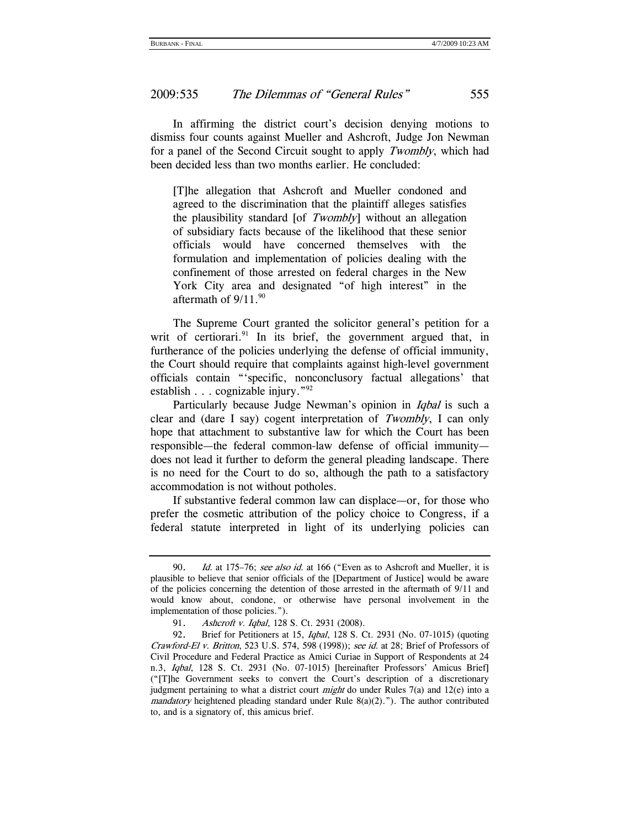In affirming the district court's decision denying motions to dismiss four counts against Mueller and Ashcroft, Judge Jon Newman for a panel of the Second Circuit sought to apply Twombly, which had been decided less than two months earlier. He concluded:

[T]he allegation that Ashcroft and Mueller condoned and agreed to the discrimination that the plaintiff alleges satisfies the plausibility standard [of Twombly] without an allegation of subsidiary facts because of the likelihood that these senior officials would have concerned themselves with the formulation and implementation of policies dealing with the confinement of those arrested on federal charges in the New York City area and designated "of high interest" in the aftermath of  $9/11.^{90}$ 

The Supreme Court granted the solicitor general's petition for a writ of certiorari. $91$  In its brief, the government argued that, in furtherance of the policies underlying the defense of official immunity, the Court should require that complaints against high-level government officials contain "'specific, nonconclusory factual allegations' that establish . . . cognizable injury."92

Particularly because Judge Newman's opinion in *Iqbal* is such a clear and (dare I say) cogent interpretation of Twombly, I can only hope that attachment to substantive law for which the Court has been responsible—the federal common-law defense of official immunity does not lead it further to deform the general pleading landscape. There is no need for the Court to do so, although the path to a satisfactory accommodation is not without potholes.

If substantive federal common law can displace—or, for those who prefer the cosmetic attribution of the policy choice to Congress, if a federal statute interpreted in light of its underlying policies can

<sup>90.</sup> Id. at 175–76; see also id. at 166 ("Even as to Ashcroft and Mueller, it is plausible to believe that senior officials of the [Department of Justice] would be aware of the policies concerning the detention of those arrested in the aftermath of 9/11 and would know about, condone, or otherwise have personal involvement in the implementation of those policies.").

 <sup>91.</sup> Ashcroft v. Iqbal, 128 S. Ct. 2931 (2008).

 <sup>92.</sup> Brief for Petitioners at 15, Iqbal, 128 S. Ct. 2931 (No. 07-1015) (quoting Crawford-El v. Britton, 523 U.S. 574, 598 (1998)); see id. at 28; Brief of Professors of Civil Procedure and Federal Practice as Amici Curiae in Support of Respondents at 24 n.3, Iqbal, 128 S. Ct. 2931 (No. 07-1015) [hereinafter Professors' Amicus Brief] ("[T]he Government seeks to convert the Court's description of a discretionary judgment pertaining to what a district court *might* do under Rules 7(a) and 12(e) into a mandatory heightened pleading standard under Rule  $8(a)(2)$ ."). The author contributed to, and is a signatory of, this amicus brief.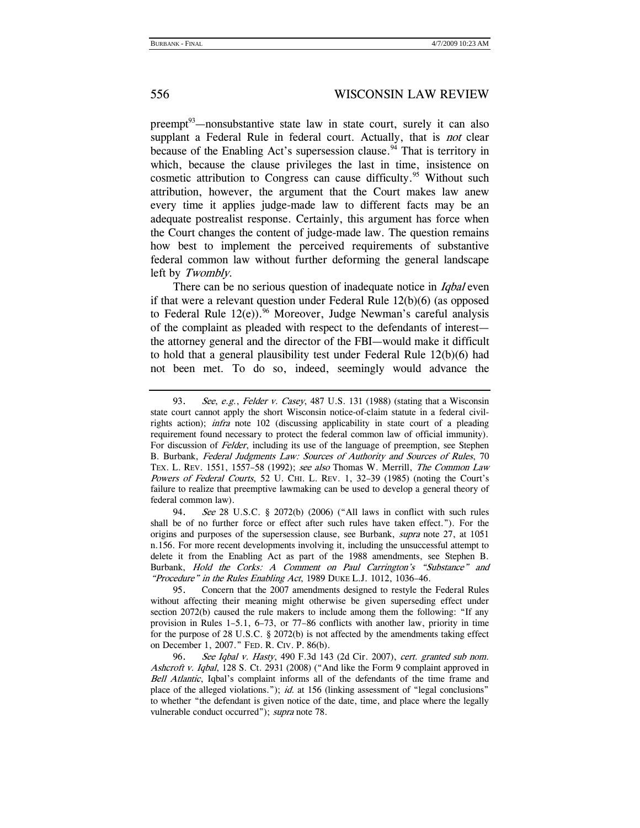preempt $93$ —nonsubstantive state law in state court, surely it can also supplant a Federal Rule in federal court. Actually, that is *not* clear because of the Enabling Act's supersession clause.<sup>94</sup> That is territory in which, because the clause privileges the last in time, insistence on cosmetic attribution to Congress can cause difficulty.<sup>95</sup> Without such attribution, however, the argument that the Court makes law anew every time it applies judge-made law to different facts may be an adequate postrealist response. Certainly, this argument has force when the Court changes the content of judge-made law. The question remains how best to implement the perceived requirements of substantive federal common law without further deforming the general landscape left by Twombly.

There can be no serious question of inadequate notice in *Iqbal* even if that were a relevant question under Federal Rule  $12(b)(6)$  (as opposed to Federal Rule  $12(e)$ .<sup>96</sup> Moreover, Judge Newman's careful analysis of the complaint as pleaded with respect to the defendants of interest the attorney general and the director of the FBI—would make it difficult to hold that a general plausibility test under Federal Rule 12(b)(6) had not been met. To do so, indeed, seemingly would advance the

<sup>93.</sup> See, e.g., Felder v. Casey, 487 U.S. 131 (1988) (stating that a Wisconsin state court cannot apply the short Wisconsin notice-of-claim statute in a federal civilrights action); infra note 102 (discussing applicability in state court of a pleading requirement found necessary to protect the federal common law of official immunity). For discussion of Felder, including its use of the language of preemption, see Stephen B. Burbank, Federal Judgments Law: Sources of Authority and Sources of Rules, 70 TEX. L. REV. 1551, 1557–58 (1992); see also Thomas W. Merrill, The Common Law Powers of Federal Courts, 52 U. CHI. L. REV. 1, 32-39 (1985) (noting the Court's failure to realize that preemptive lawmaking can be used to develop a general theory of federal common law).

 <sup>94.</sup> See 28 U.S.C. § 2072(b) (2006) ("All laws in conflict with such rules shall be of no further force or effect after such rules have taken effect."). For the origins and purposes of the supersession clause, see Burbank, supra note 27, at 1051 n.156. For more recent developments involving it, including the unsuccessful attempt to delete it from the Enabling Act as part of the 1988 amendments, see Stephen B. Burbank, Hold the Corks: A Comment on Paul Carrington's "Substance" and "Procedure" in the Rules Enabling Act, 1989 DUKE L.J. 1012, 1036-46.

 <sup>95.</sup> Concern that the 2007 amendments designed to restyle the Federal Rules without affecting their meaning might otherwise be given superseding effect under section 2072(b) caused the rule makers to include among them the following: "If any provision in Rules 1–5.1, 6–73, or 77–86 conflicts with another law, priority in time for the purpose of 28 U.S.C. § 2072(b) is not affected by the amendments taking effect on December 1, 2007." FED. R. CIV. P. 86(b).

<sup>96.</sup> See Iqbal v. Hasty, 490 F.3d 143 (2d Cir. 2007), cert. granted sub nom. Ashcroft v. Iqbal, 128 S. Ct. 2931 (2008) ("And like the Form 9 complaint approved in Bell Atlantic, Iqbal's complaint informs all of the defendants of the time frame and place of the alleged violations."); id. at 156 (linking assessment of "legal conclusions" to whether "the defendant is given notice of the date, time, and place where the legally vulnerable conduct occurred"); supra note 78.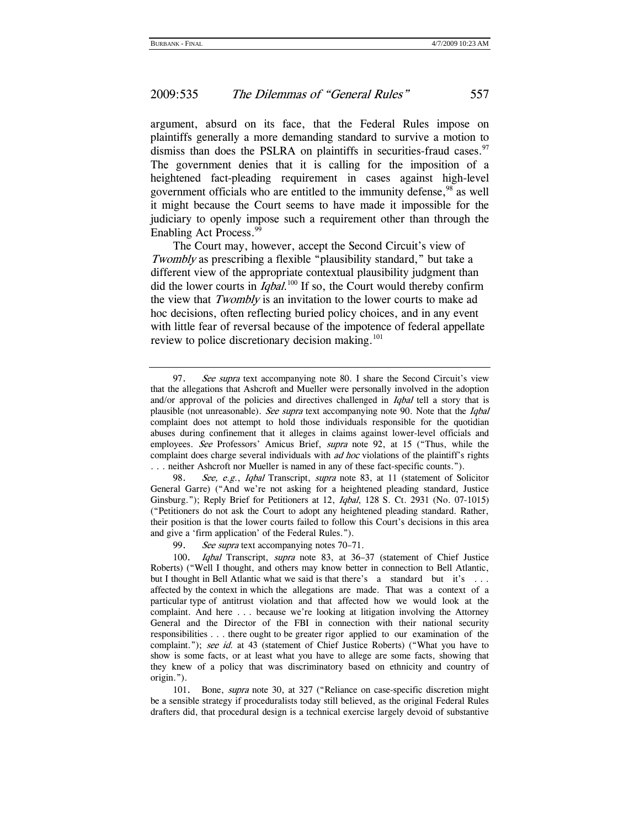argument, absurd on its face, that the Federal Rules impose on plaintiffs generally a more demanding standard to survive a motion to dismiss than does the PSLRA on plaintiffs in securities-fraud cases. $97$ The government denies that it is calling for the imposition of a heightened fact-pleading requirement in cases against high-level government officials who are entitled to the immunity defense,<sup>98</sup> as well it might because the Court seems to have made it impossible for the judiciary to openly impose such a requirement other than through the Enabling Act Process.<sup>99</sup>

The Court may, however, accept the Second Circuit's view of Twombly as prescribing a flexible "plausibility standard," but take a different view of the appropriate contextual plausibility judgment than did the lower courts in *Iqbal*.<sup>100</sup> If so, the Court would thereby confirm the view that Twombly is an invitation to the lower courts to make ad hoc decisions, often reflecting buried policy choices, and in any event with little fear of reversal because of the impotence of federal appellate review to police discretionary decision making.<sup>101</sup>

99. See supra text accompanying notes 70–71.

<sup>97.</sup> See supra text accompanying note 80. I share the Second Circuit's view that the allegations that Ashcroft and Mueller were personally involved in the adoption and/or approval of the policies and directives challenged in *Iqbal* tell a story that is plausible (not unreasonable). See supra text accompanying note 90. Note that the *Iqbal* complaint does not attempt to hold those individuals responsible for the quotidian abuses during confinement that it alleges in claims against lower-level officials and employees. See Professors' Amicus Brief, supra note 92, at 15 ("Thus, while the complaint does charge several individuals with *ad hoc* violations of the plaintiff's rights . . . neither Ashcroft nor Mueller is named in any of these fact-specific counts.").

<sup>98.</sup> See, e.g., Igbal Transcript, supra note 83, at 11 (statement of Solicitor General Garre) ("And we're not asking for a heightened pleading standard, Justice Ginsburg."); Reply Brief for Petitioners at 12, Iqbal, 128 S. Ct. 2931 (No. 07-1015) ("Petitioners do not ask the Court to adopt any heightened pleading standard. Rather, their position is that the lower courts failed to follow this Court's decisions in this area and give a 'firm application' of the Federal Rules.").

 <sup>100.</sup> Iqbal Transcript, supra note 83, at 36–37 (statement of Chief Justice Roberts) ("Well I thought, and others may know better in connection to Bell Atlantic, but I thought in Bell Atlantic what we said is that there's a standard but it's ... affected by the context in which the allegations are made. That was a context of a particular type of antitrust violation and that affected how we would look at the complaint. And here . . . because we're looking at litigation involving the Attorney General and the Director of the FBI in connection with their national security responsibilities . . . there ought to be greater rigor applied to our examination of the complaint."); see id. at 43 (statement of Chief Justice Roberts) ("What you have to show is some facts, or at least what you have to allege are some facts, showing that they knew of a policy that was discriminatory based on ethnicity and country of origin.").

 <sup>101.</sup> Bone, supra note 30, at 327 ("Reliance on case-specific discretion might be a sensible strategy if proceduralists today still believed, as the original Federal Rules drafters did, that procedural design is a technical exercise largely devoid of substantive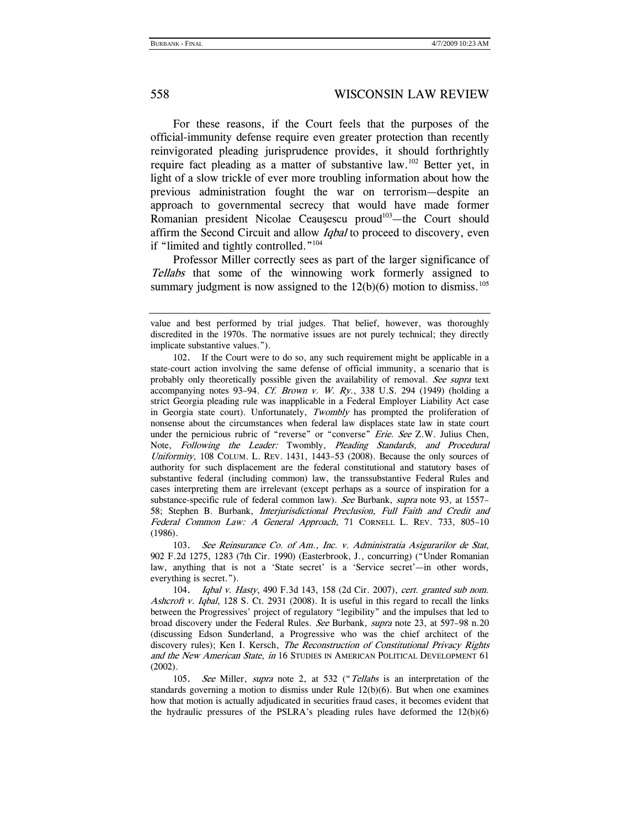For these reasons, if the Court feels that the purposes of the official-immunity defense require even greater protection than recently reinvigorated pleading jurisprudence provides, it should forthrightly require fact pleading as a matter of substantive law.102 Better yet, in light of a slow trickle of ever more troubling information about how the previous administration fought the war on terrorism—despite an approach to governmental secrecy that would have made former Romanian president Nicolae Ceauşescu proud<sup>103</sup>—the Court should affirm the Second Circuit and allow *Iqbal* to proceed to discovery, even if "limited and tightly controlled."<sup>104</sup>

Professor Miller correctly sees as part of the larger significance of Tellabs that some of the winnowing work formerly assigned to summary judgment is now assigned to the  $12(b)(6)$  motion to dismiss.<sup>105</sup>

 103. See Reinsurance Co. of Am., Inc. v. Administratia Asigurarilor de Stat, 902 F.2d 1275, 1283 (7th Cir. 1990) (Easterbrook, J., concurring) ("Under Romanian law, anything that is not a 'State secret' is a 'Service secret'—in other words, everything is secret.").

104. Iqbal v. Hasty, 490 F.3d 143, 158 (2d Cir. 2007), cert. granted sub nom. Ashcroft v. Iqbal, 128 S. Ct. 2931 (2008). It is useful in this regard to recall the links between the Progressives' project of regulatory "legibility" and the impulses that led to broad discovery under the Federal Rules. See Burbank, supra note 23, at 597–98 n.20 (discussing Edson Sunderland, a Progressive who was the chief architect of the discovery rules); Ken I. Kersch, *The Reconstruction of Constitutional Privacy Rights* and the New American State, in 16 STUDIES IN AMERICAN POLITICAL DEVELOPMENT 61 (2002).

105. See Miller, supra note 2, at 532 ("Tellabs is an interpretation of the standards governing a motion to dismiss under Rule  $12(b)(6)$ . But when one examines how that motion is actually adjudicated in securities fraud cases, it becomes evident that the hydraulic pressures of the PSLRA's pleading rules have deformed the 12(b)(6)

value and best performed by trial judges. That belief, however, was thoroughly discredited in the 1970s. The normative issues are not purely technical; they directly implicate substantive values.").

 <sup>102.</sup> If the Court were to do so, any such requirement might be applicable in a state-court action involving the same defense of official immunity, a scenario that is probably only theoretically possible given the availability of removal. See supra text accompanying notes 93-94. Cf. Brown v. W. Ry., 338 U.S. 294 (1949) (holding a strict Georgia pleading rule was inapplicable in a Federal Employer Liability Act case in Georgia state court). Unfortunately, Twombly has prompted the proliferation of nonsense about the circumstances when federal law displaces state law in state court under the pernicious rubric of "reverse" or "converse" Erie. See Z.W. Julius Chen, Note, Following the Leader: Twombly, Pleading Standards, and Procedural Uniformity, 108 COLUM. L. REV. 1431, 1443–53 (2008). Because the only sources of authority for such displacement are the federal constitutional and statutory bases of substantive federal (including common) law, the transsubstantive Federal Rules and cases interpreting them are irrelevant (except perhaps as a source of inspiration for a substance-specific rule of federal common law). See Burbank, supra note 93, at 1557– 58; Stephen B. Burbank, Interjurisdictional Preclusion, Full Faith and Credit and Federal Common Law: A General Approach, 71 CORNELL L. REV. 733, 805-10 (1986).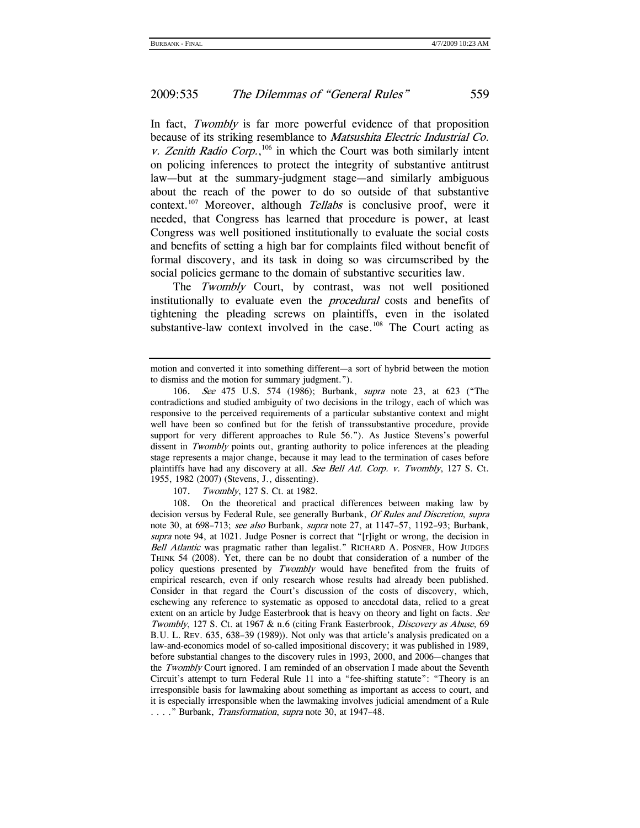In fact, *Twombly* is far more powerful evidence of that proposition because of its striking resemblance to Matsushita Electric Industrial Co. v. Zenith Radio Corp.,<sup>106</sup> in which the Court was both similarly intent on policing inferences to protect the integrity of substantive antitrust law—but at the summary-judgment stage—and similarly ambiguous about the reach of the power to do so outside of that substantive context.<sup>107</sup> Moreover, although *Tellabs* is conclusive proof, were it needed, that Congress has learned that procedure is power, at least Congress was well positioned institutionally to evaluate the social costs and benefits of setting a high bar for complaints filed without benefit of formal discovery, and its task in doing so was circumscribed by the social policies germane to the domain of substantive securities law.

The Twombly Court, by contrast, was not well positioned institutionally to evaluate even the *procedural* costs and benefits of tightening the pleading screws on plaintiffs, even in the isolated substantive-law context involved in the case.<sup>108</sup> The Court acting as

107. Twombly, 127 S. Ct. at 1982.

 108. On the theoretical and practical differences between making law by decision versus by Federal Rule, see generally Burbank, Of Rules and Discretion, supra note 30, at 698–713; see also Burbank, supra note 27, at 1147–57, 1192–93; Burbank, supra note 94, at 1021. Judge Posner is correct that "[r]ight or wrong, the decision in Bell Atlantic was pragmatic rather than legalist." RICHARD A. POSNER, HOW JUDGES THINK 54 (2008). Yet, there can be no doubt that consideration of a number of the policy questions presented by Twombly would have benefited from the fruits of empirical research, even if only research whose results had already been published. Consider in that regard the Court's discussion of the costs of discovery, which, eschewing any reference to systematic as opposed to anecdotal data, relied to a great extent on an article by Judge Easterbrook that is heavy on theory and light on facts. See Twombly, 127 S. Ct. at 1967 & n.6 (citing Frank Easterbrook, Discovery as Abuse, 69 B.U. L. REV. 635, 638–39 (1989)). Not only was that article's analysis predicated on a law-and-economics model of so-called impositional discovery; it was published in 1989, before substantial changes to the discovery rules in 1993, 2000, and 2006—changes that the Twombly Court ignored. I am reminded of an observation I made about the Seventh Circuit's attempt to turn Federal Rule 11 into a "fee-shifting statute": "Theory is an irresponsible basis for lawmaking about something as important as access to court, and it is especially irresponsible when the lawmaking involves judicial amendment of a Rule . . . . " Burbank, *Transformation*, *supra* note 30, at 1947–48.

motion and converted it into something different—a sort of hybrid between the motion to dismiss and the motion for summary judgment.").

<sup>106.</sup> See 475 U.S. 574 (1986); Burbank, supra note 23, at 623 ("The contradictions and studied ambiguity of two decisions in the trilogy, each of which was responsive to the perceived requirements of a particular substantive context and might well have been so confined but for the fetish of transsubstantive procedure, provide support for very different approaches to Rule 56."). As Justice Stevens's powerful dissent in *Twombly* points out, granting authority to police inferences at the pleading stage represents a major change, because it may lead to the termination of cases before plaintiffs have had any discovery at all. See Bell Atl. Corp. v. Twombly, 127 S. Ct. 1955, 1982 (2007) (Stevens, J., dissenting).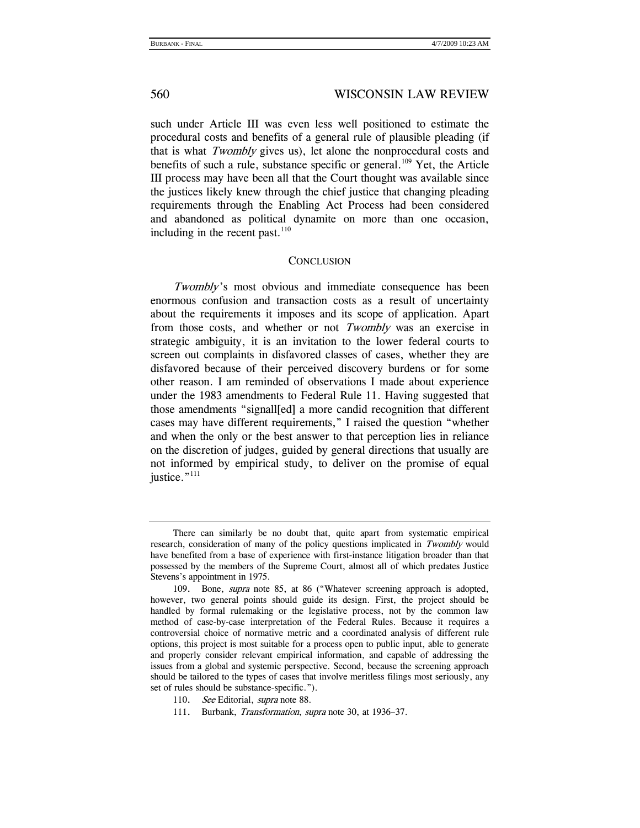such under Article III was even less well positioned to estimate the procedural costs and benefits of a general rule of plausible pleading (if that is what Twombly gives us), let alone the nonprocedural costs and benefits of such a rule, substance specific or general.<sup>109</sup> Yet, the Article III process may have been all that the Court thought was available since the justices likely knew through the chief justice that changing pleading requirements through the Enabling Act Process had been considered and abandoned as political dynamite on more than one occasion, including in the recent past. $110$ 

#### **CONCLUSION**

Twombly's most obvious and immediate consequence has been enormous confusion and transaction costs as a result of uncertainty about the requirements it imposes and its scope of application. Apart from those costs, and whether or not Twombly was an exercise in strategic ambiguity, it is an invitation to the lower federal courts to screen out complaints in disfavored classes of cases, whether they are disfavored because of their perceived discovery burdens or for some other reason. I am reminded of observations I made about experience under the 1983 amendments to Federal Rule 11. Having suggested that those amendments "signall[ed] a more candid recognition that different cases may have different requirements," I raised the question "whether and when the only or the best answer to that perception lies in reliance on the discretion of judges, guided by general directions that usually are not informed by empirical study, to deliver on the promise of equal justice."<sup>111</sup>

There can similarly be no doubt that, quite apart from systematic empirical research, consideration of many of the policy questions implicated in Twombly would have benefited from a base of experience with first-instance litigation broader than that possessed by the members of the Supreme Court, almost all of which predates Justice Stevens's appointment in 1975.

 <sup>109.</sup> Bone, supra note 85, at 86 ("Whatever screening approach is adopted, however, two general points should guide its design. First, the project should be handled by formal rulemaking or the legislative process, not by the common law method of case-by-case interpretation of the Federal Rules. Because it requires a controversial choice of normative metric and a coordinated analysis of different rule options, this project is most suitable for a process open to public input, able to generate and properly consider relevant empirical information, and capable of addressing the issues from a global and systemic perspective. Second, because the screening approach should be tailored to the types of cases that involve meritless filings most seriously, any set of rules should be substance-specific.").

<sup>110.</sup> See Editorial, supra note 88.

 <sup>111.</sup> Burbank, Transformation, supra note 30, at 1936–37.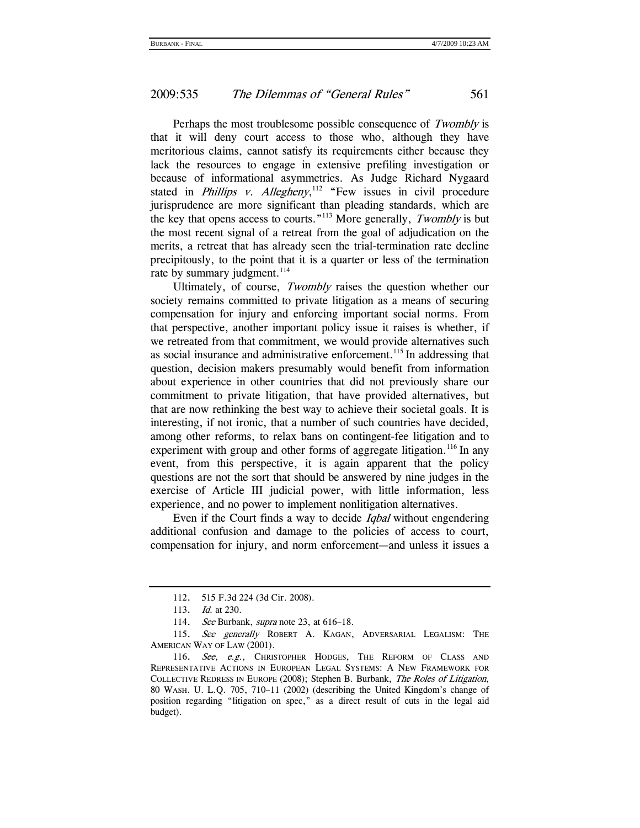Perhaps the most troublesome possible consequence of Twombly is that it will deny court access to those who, although they have meritorious claims, cannot satisfy its requirements either because they lack the resources to engage in extensive prefiling investigation or because of informational asymmetries. As Judge Richard Nygaard stated in *Phillips v. Allegheny*,<sup>112</sup> "Few issues in civil procedure jurisprudence are more significant than pleading standards, which are the key that opens access to courts."<sup>113</sup> More generally, *Twombly* is but the most recent signal of a retreat from the goal of adjudication on the merits, a retreat that has already seen the trial-termination rate decline precipitously, to the point that it is a quarter or less of the termination rate by summary judgment.<sup>114</sup>

Ultimately, of course, Twombly raises the question whether our society remains committed to private litigation as a means of securing compensation for injury and enforcing important social norms. From that perspective, another important policy issue it raises is whether, if we retreated from that commitment, we would provide alternatives such as social insurance and administrative enforcement.<sup>115</sup> In addressing that question, decision makers presumably would benefit from information about experience in other countries that did not previously share our commitment to private litigation, that have provided alternatives, but that are now rethinking the best way to achieve their societal goals. It is interesting, if not ironic, that a number of such countries have decided, among other reforms, to relax bans on contingent-fee litigation and to experiment with group and other forms of aggregate litigation.<sup>116</sup> In any event, from this perspective, it is again apparent that the policy questions are not the sort that should be answered by nine judges in the exercise of Article III judicial power, with little information, less experience, and no power to implement nonlitigation alternatives.

Even if the Court finds a way to decide Iqbal without engendering additional confusion and damage to the policies of access to court, compensation for injury, and norm enforcement—and unless it issues a

 <sup>112. 515</sup> F.3d 224 (3d Cir. 2008).

<sup>113.</sup> *Id.* at 230.

<sup>114.</sup> See Burbank, supra note 23, at 616-18.

<sup>115.</sup> See generally ROBERT A. KAGAN, ADVERSARIAL LEGALISM: THE AMERICAN WAY OF LAW (2001).

 <sup>116.</sup> See, e.g., CHRISTOPHER HODGES, THE REFORM OF CLASS AND REPRESENTATIVE ACTIONS IN EUROPEAN LEGAL SYSTEMS: A NEW FRAMEWORK FOR COLLECTIVE REDRESS IN EUROPE (2008); Stephen B. Burbank, The Roles of Litigation, 80 WASH. U. L.Q. 705, 710–11 (2002) (describing the United Kingdom's change of position regarding "litigation on spec," as a direct result of cuts in the legal aid budget).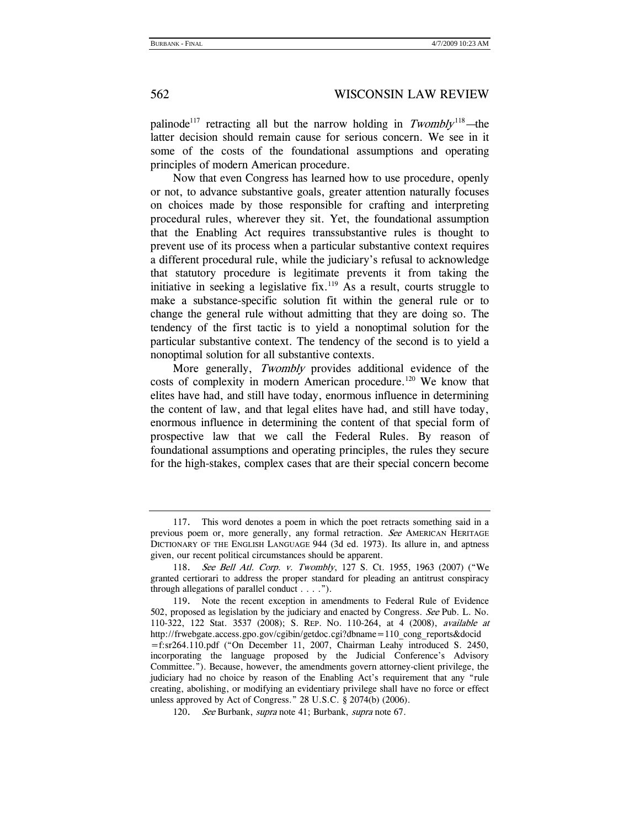palinode<sup>117</sup> retracting all but the narrow holding in  $Twomblv<sup>118</sup>$ —the latter decision should remain cause for serious concern. We see in it some of the costs of the foundational assumptions and operating principles of modern American procedure.

Now that even Congress has learned how to use procedure, openly or not, to advance substantive goals, greater attention naturally focuses on choices made by those responsible for crafting and interpreting procedural rules, wherever they sit. Yet, the foundational assumption that the Enabling Act requires transsubstantive rules is thought to prevent use of its process when a particular substantive context requires a different procedural rule, while the judiciary's refusal to acknowledge that statutory procedure is legitimate prevents it from taking the initiative in seeking a legislative fix.<sup>119</sup> As a result, courts struggle to make a substance-specific solution fit within the general rule or to change the general rule without admitting that they are doing so. The tendency of the first tactic is to yield a nonoptimal solution for the particular substantive context. The tendency of the second is to yield a nonoptimal solution for all substantive contexts.

More generally, Twombly provides additional evidence of the costs of complexity in modern American procedure.120 We know that elites have had, and still have today, enormous influence in determining the content of law, and that legal elites have had, and still have today, enormous influence in determining the content of that special form of prospective law that we call the Federal Rules. By reason of foundational assumptions and operating principles, the rules they secure for the high-stakes, complex cases that are their special concern become

 <sup>117.</sup> This word denotes a poem in which the poet retracts something said in a previous poem or, more generally, any formal retraction. See AMERICAN HERITAGE DICTIONARY OF THE ENGLISH LANGUAGE 944 (3d ed. 1973). Its allure in, and aptness given, our recent political circumstances should be apparent.

<sup>118.</sup> See Bell Atl. Corp. v. Twombly, 127 S. Ct. 1955, 1963 (2007) ("We granted certiorari to address the proper standard for pleading an antitrust conspiracy through allegations of parallel conduct  $\dots$ .").

 <sup>119.</sup> Note the recent exception in amendments to Federal Rule of Evidence 502, proposed as legislation by the judiciary and enacted by Congress. See Pub. L. No. 110-322, 122 Stat. 3537 (2008); S. REP. NO. 110-264, at 4 (2008), available at http://frwebgate.access.gpo.gov/cgibin/getdoc.cgi?dbname=110\_cong\_reports&docid =f:sr264.110.pdf ("On December 11, 2007, Chairman Leahy introduced S. 2450, incorporating the language proposed by the Judicial Conference's Advisory Committee."). Because, however, the amendments govern attorney-client privilege, the judiciary had no choice by reason of the Enabling Act's requirement that any "rule creating, abolishing, or modifying an evidentiary privilege shall have no force or effect unless approved by Act of Congress." 28 U.S.C. § 2074(b) (2006).

<sup>120.</sup> See Burbank, supra note 41; Burbank, supra note 67.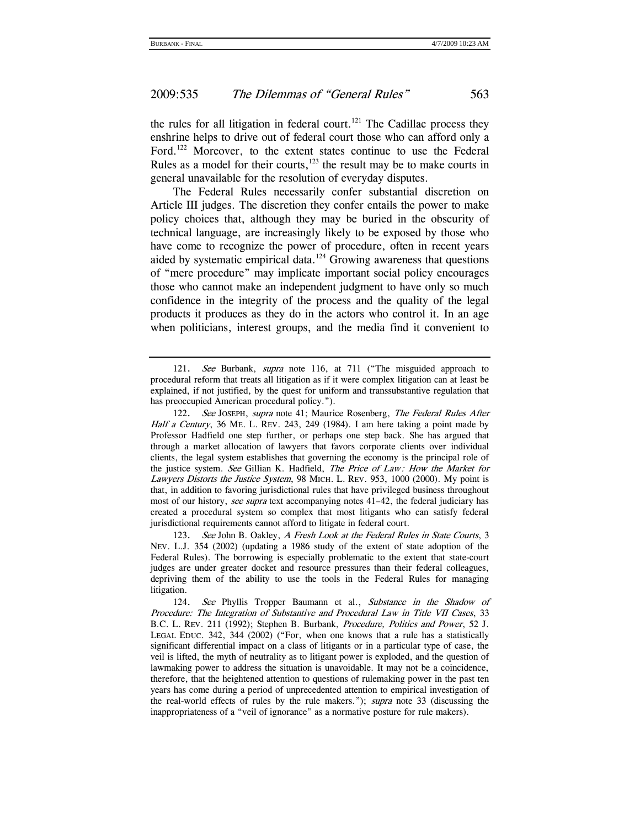the rules for all litigation in federal court.<sup>121</sup> The Cadillac process they enshrine helps to drive out of federal court those who can afford only a Ford.<sup>122</sup> Moreover, to the extent states continue to use the Federal Rules as a model for their courts, $123$  the result may be to make courts in general unavailable for the resolution of everyday disputes.

The Federal Rules necessarily confer substantial discretion on Article III judges. The discretion they confer entails the power to make policy choices that, although they may be buried in the obscurity of technical language, are increasingly likely to be exposed by those who have come to recognize the power of procedure, often in recent years aided by systematic empirical data.<sup>124</sup> Growing awareness that questions of "mere procedure" may implicate important social policy encourages those who cannot make an independent judgment to have only so much confidence in the integrity of the process and the quality of the legal products it produces as they do in the actors who control it. In an age when politicians, interest groups, and the media find it convenient to

 <sup>121.</sup> See Burbank, supra note 116, at 711 ("The misguided approach to procedural reform that treats all litigation as if it were complex litigation can at least be explained, if not justified, by the quest for uniform and transsubstantive regulation that has preoccupied American procedural policy.").

<sup>122.</sup> See JOSEPH, supra note 41; Maurice Rosenberg, The Federal Rules After Half a Century, 36 ME. L. REV. 243, 249 (1984). I am here taking a point made by Professor Hadfield one step further, or perhaps one step back. She has argued that through a market allocation of lawyers that favors corporate clients over individual clients, the legal system establishes that governing the economy is the principal role of the justice system. See Gillian K. Hadfield, The Price of Law: How the Market for Lawyers Distorts the Justice System, 98 MICH. L. REV. 953, 1000 (2000). My point is that, in addition to favoring jurisdictional rules that have privileged business throughout most of our history, see supra text accompanying notes 41–42, the federal judiciary has created a procedural system so complex that most litigants who can satisfy federal jurisdictional requirements cannot afford to litigate in federal court.

<sup>123.</sup> See John B. Oakley, A Fresh Look at the Federal Rules in State Courts, 3 NEV. L.J. 354 (2002) (updating a 1986 study of the extent of state adoption of the Federal Rules). The borrowing is especially problematic to the extent that state-court judges are under greater docket and resource pressures than their federal colleagues, depriving them of the ability to use the tools in the Federal Rules for managing litigation.

 <sup>124.</sup> See Phyllis Tropper Baumann et al., Substance in the Shadow of Procedure: The Integration of Substantive and Procedural Law in Title VII Cases, 33 B.C. L. REV. 211 (1992); Stephen B. Burbank, Procedure, Politics and Power, 52 J. LEGAL EDUC. 342, 344 (2002) ("For, when one knows that a rule has a statistically significant differential impact on a class of litigants or in a particular type of case, the veil is lifted, the myth of neutrality as to litigant power is exploded, and the question of lawmaking power to address the situation is unavoidable. It may not be a coincidence, therefore, that the heightened attention to questions of rulemaking power in the past ten years has come during a period of unprecedented attention to empirical investigation of the real-world effects of rules by the rule makers."); *supra* note 33 (discussing the inappropriateness of a "veil of ignorance" as a normative posture for rule makers).